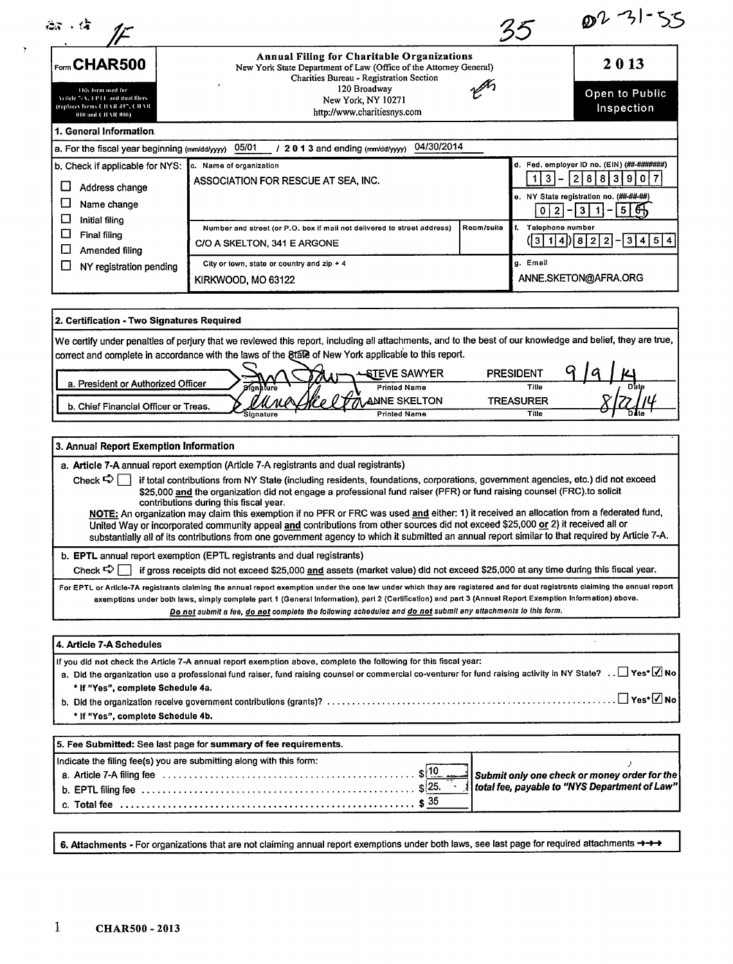| Form CHAR500<br>this form used for<br>Veticle 7-A, FPT1, and dual filers.<br>(replaces forms CITAR 497, CITAR<br>010 and CHAR 006)<br>1. General Information.<br>a. For the fiscal year beginning (mm/dd/yyyy) 05/01<br>b. Check if applicable for NYS:<br>c. Name of organization<br>∐<br>Address change<br>□<br>Name change | 2013<br>Open to Public<br>Inspection<br>04/30/2014<br>d. Fed. employer ID no. (EIN) (##-#######)<br>-31<br>2 8 8 3 9 0 7<br>1 I<br>e. NY State registration no. (##-##-##)                                                                                                                                                                                                                                                                                                                                                                                                                                                                                                                                                                                                                                                                                                                                                                                                                                                                                                                                                     |
|-------------------------------------------------------------------------------------------------------------------------------------------------------------------------------------------------------------------------------------------------------------------------------------------------------------------------------|--------------------------------------------------------------------------------------------------------------------------------------------------------------------------------------------------------------------------------------------------------------------------------------------------------------------------------------------------------------------------------------------------------------------------------------------------------------------------------------------------------------------------------------------------------------------------------------------------------------------------------------------------------------------------------------------------------------------------------------------------------------------------------------------------------------------------------------------------------------------------------------------------------------------------------------------------------------------------------------------------------------------------------------------------------------------------------------------------------------------------------|
|                                                                                                                                                                                                                                                                                                                               |                                                                                                                                                                                                                                                                                                                                                                                                                                                                                                                                                                                                                                                                                                                                                                                                                                                                                                                                                                                                                                                                                                                                |
|                                                                                                                                                                                                                                                                                                                               | 35<br>Annual Filing for Charitable Organizations<br>New York State Department of Law (Office of the Attorney General)<br>Charities Bureau - Registration Section<br>120 Broadway<br>New York, NY 10271<br>http://www.charitiesnys.com<br>$/2013$ and ending (mm/dd/yyyy)<br>ASSOCIATION FOR RESCUE AT SEA, INC.<br>0 2 <br>3<br>$5 \mid 6 \nightharpoonup$<br>$\blacktriangleleft$<br>Room/suite<br>f. Telephone number<br>Number and street (or P.O. box if mail not delivered to street address)<br>3 4 5 4<br>( 3  1  4)  8  2  2  - <br>C/O A SKELTON, 341 E ARGONE<br>g. Email<br>City or town, state or country and zip + 4<br>ANNE.SKETON@AFRA.ORG<br>KIRKWOOD, MO 63122<br>We certify under penalties of perjury that we reviewed this report, including all attachments, and to the best of our knowledge and belief, they are true,<br>correct and complete in accordance with the laws of the §tate of New York applicable to this report.<br><b>PRESIDENT</b><br>STEVE SAWYER<br><b>Printed Name</b><br>Title<br>Signature<br><b>ANNE SKELTON</b><br><b>TREASURER</b><br>Title<br><b>Printed Name</b><br>Signature |
|                                                                                                                                                                                                                                                                                                                               |                                                                                                                                                                                                                                                                                                                                                                                                                                                                                                                                                                                                                                                                                                                                                                                                                                                                                                                                                                                                                                                                                                                                |
|                                                                                                                                                                                                                                                                                                                               |                                                                                                                                                                                                                                                                                                                                                                                                                                                                                                                                                                                                                                                                                                                                                                                                                                                                                                                                                                                                                                                                                                                                |
|                                                                                                                                                                                                                                                                                                                               |                                                                                                                                                                                                                                                                                                                                                                                                                                                                                                                                                                                                                                                                                                                                                                                                                                                                                                                                                                                                                                                                                                                                |
| □<br><b>Initial filing</b><br>$\Box$<br><b>Final filing</b><br>□<br>Amended filing                                                                                                                                                                                                                                            |                                                                                                                                                                                                                                                                                                                                                                                                                                                                                                                                                                                                                                                                                                                                                                                                                                                                                                                                                                                                                                                                                                                                |
| П<br>NY registration pending                                                                                                                                                                                                                                                                                                  |                                                                                                                                                                                                                                                                                                                                                                                                                                                                                                                                                                                                                                                                                                                                                                                                                                                                                                                                                                                                                                                                                                                                |
| 2. Certification - Two Signatures Required                                                                                                                                                                                                                                                                                    |                                                                                                                                                                                                                                                                                                                                                                                                                                                                                                                                                                                                                                                                                                                                                                                                                                                                                                                                                                                                                                                                                                                                |
|                                                                                                                                                                                                                                                                                                                               |                                                                                                                                                                                                                                                                                                                                                                                                                                                                                                                                                                                                                                                                                                                                                                                                                                                                                                                                                                                                                                                                                                                                |
| a. President or Authorized Officer                                                                                                                                                                                                                                                                                            |                                                                                                                                                                                                                                                                                                                                                                                                                                                                                                                                                                                                                                                                                                                                                                                                                                                                                                                                                                                                                                                                                                                                |
| b. Chief Financial Officer or Treas.                                                                                                                                                                                                                                                                                          |                                                                                                                                                                                                                                                                                                                                                                                                                                                                                                                                                                                                                                                                                                                                                                                                                                                                                                                                                                                                                                                                                                                                |
| 3. Annual Report Exemption Information                                                                                                                                                                                                                                                                                        |                                                                                                                                                                                                                                                                                                                                                                                                                                                                                                                                                                                                                                                                                                                                                                                                                                                                                                                                                                                                                                                                                                                                |

Check  $\bigcirc$  if total contributions from NY State (including residents, foundations, corporations, government agencies, etc.) did not exceed \$25,000 and the organization did not engage a professional fund raiser (PFR) or fund raising counsel (FRC).to solicit contributions during this fiscal year.

NOTE: An organization may claim this exemption if no PFR or FRC was used and either: 1) it received an allocation from a federated fund, United Way or incorporated community appeal and contributions from other sources did not exceed \$25,000 or 2) it received all or substantially all of its contributions from one government agency to which it submitted an annual report similar to that required by Article 7-A.

b. EPTL annual report exemption (EPTL registrants and dual registrants)

Check  $\bigcirc$   $\Box$  if gross receipts did not exceed \$25,000 and assets (market value) did not exceed \$25,000 at any time during this fiscal year.

For EPTL or Article-7A registrants claiming the annual report exemption under the one law under which they are registered and for dual registrants claiming the annual report exemptions under both laws, simply complete part I (General Information), pert 2 (Certification) and part 3 (Annual Report Exemption Information) above. Do not submit a fee, do not complete the following schedules and do not submit any attachments to this form.

| 4. Article 7-A Schedules                                                                                                                                                                                                                                                                                                                             |                                                 |
|------------------------------------------------------------------------------------------------------------------------------------------------------------------------------------------------------------------------------------------------------------------------------------------------------------------------------------------------------|-------------------------------------------------|
| If you did not check the Article 7-A annual report exemption above, complete the following for this fiscal year:<br>a. Did the organization use a professional fund raiser, fund raising counsel or commercial co-venturer for fund raising activity in NY State? [Yes* Mo<br>* If "Yes", complete Schedule 4a.<br>* If "Yes", complete Schedule 4b. |                                                 |
| 5. Fee Submitted: See last page for summary of fee requirements.                                                                                                                                                                                                                                                                                     |                                                 |
| Indicate the filing fee(s) you are submitting along with this form:<br>b. EPTL filing fee $\dots\dots\dots\dots\dots\dots\dots\dots\dots\dots\dots\dots\dots\dots\dots$                                                                                                                                                                              | A total fee, payable to "NYS Department of Law" |

6. Attachments - For organizations that are not claiming annual report exemptions under both laws, see last page for required attachments ->>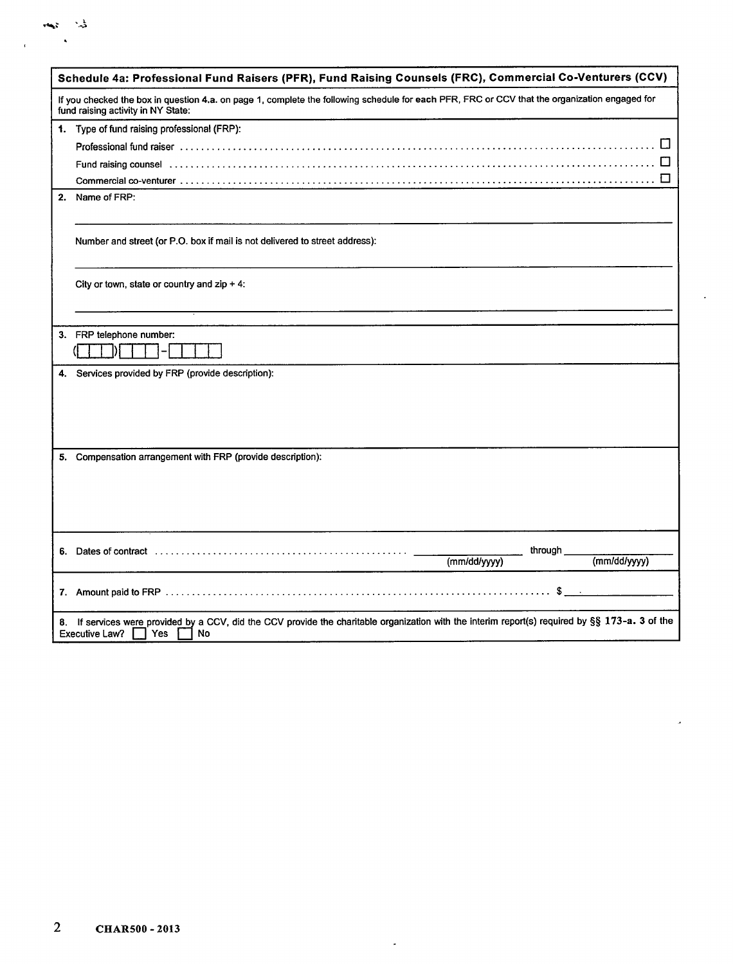|    | Schedule 4a: Professional Fund Raisers (PFR), Fund Raising Counsels (FRC), Commercial Co-Venturers (CCV)                                                                                                                      |
|----|-------------------------------------------------------------------------------------------------------------------------------------------------------------------------------------------------------------------------------|
|    | If you checked the box in question 4.a. on page 1, complete the following schedule for each PFR, FRC or CCV that the organization engaged for<br>fund raising activity in NY State:                                           |
|    | 1. Type of fund raising professional (FRP):                                                                                                                                                                                   |
|    | Professional fund raiser with the content of the content of the content of the content of the content of the content of the content of the content of the content of the content of the content of the content of the content |
|    |                                                                                                                                                                                                                               |
|    | $\Box$                                                                                                                                                                                                                        |
| 2. | Name of FRP:                                                                                                                                                                                                                  |
|    | Number and street (or P.O. box if mail is not delivered to street address):                                                                                                                                                   |
|    | City or town, state or country and $zip + 4$ :                                                                                                                                                                                |
|    |                                                                                                                                                                                                                               |
| 3. | FRP telephone number:                                                                                                                                                                                                         |
|    |                                                                                                                                                                                                                               |
| 4. | Services provided by FRP (provide description):                                                                                                                                                                               |
|    |                                                                                                                                                                                                                               |
|    |                                                                                                                                                                                                                               |
|    |                                                                                                                                                                                                                               |
|    |                                                                                                                                                                                                                               |
| 5. | Compensation arrangement with FRP (provide description):                                                                                                                                                                      |
|    |                                                                                                                                                                                                                               |
|    |                                                                                                                                                                                                                               |
|    |                                                                                                                                                                                                                               |
|    |                                                                                                                                                                                                                               |
|    | through                                                                                                                                                                                                                       |
|    | (mm/dd/yyyy)<br>(mm/dd/yyyy)                                                                                                                                                                                                  |
|    | $s \cdot$                                                                                                                                                                                                                     |
| 8. | If services were provided by a CCV, did the CCV provide the charitable organization with the interim report(s) required by §§ 173-a. 3 of the<br><b>Executive Law?</b><br><b>Yes</b><br><b>No</b>                             |

 $\overline{a}$ 

 $\label{eq:3.1} \frac{1}{\sqrt{2}}\sum_{i=1}^N\frac{1}{\sqrt{2}}\sum_{i=1}^N\frac{1}{\sqrt{2}}\sum_{i=1}^N\frac{1}{\sqrt{2}}\sum_{i=1}^N\frac{1}{\sqrt{2}}\sum_{i=1}^N\frac{1}{\sqrt{2}}\sum_{i=1}^N\frac{1}{\sqrt{2}}\sum_{i=1}^N\frac{1}{\sqrt{2}}\sum_{i=1}^N\frac{1}{\sqrt{2}}\sum_{i=1}^N\frac{1}{\sqrt{2}}\sum_{i=1}^N\frac{1}{\sqrt{2}}\sum_{i=1}^N\frac$  $\sim$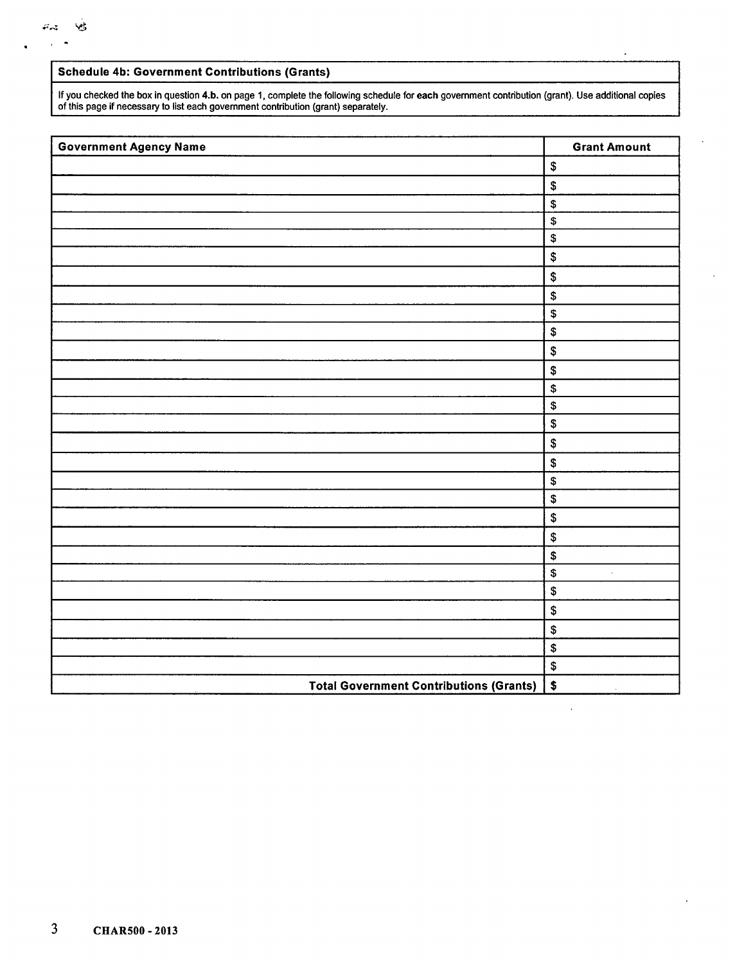#### **Schedule 4b: Government Contributions (Grants)**

If you checked the box in question 4.b. on page 1, complete the following schedule for **each** government contribution (grant). Use additional copies of this page if necessary to list each government contribution (grant) separately.

| <b>Government Agency Name</b>                  | <b>Grant Amount</b>            |
|------------------------------------------------|--------------------------------|
|                                                | $\pmb{\mathfrak{s}}$           |
|                                                | $\pmb{\$}$                     |
|                                                | \$                             |
|                                                | \$                             |
|                                                | $\pmb{\mathfrak{s}}$           |
|                                                | $\pmb{\mathfrak{s}}$           |
|                                                | \$                             |
|                                                | \$                             |
|                                                | $\boldsymbol{\mathsf{\$}}$     |
|                                                | $\pmb{\$}$                     |
|                                                | $\pmb{\$}$                     |
|                                                | $\pmb{\mathfrak{P}}$           |
|                                                | \$                             |
|                                                | $\pmb{\$}$                     |
|                                                | $\pmb{\$}$                     |
|                                                | \$                             |
|                                                | $\pmb{\mathfrak{P}}$           |
|                                                | \$                             |
|                                                | $\boldsymbol{\$}$              |
|                                                | $\boldsymbol{\$}$              |
|                                                | \$                             |
|                                                | $\pmb{\$}$                     |
|                                                | $\boldsymbol{\$}$<br>$\bar{r}$ |
|                                                | $\$$                           |
|                                                | $\boldsymbol{\mathsf{\$}}$     |
|                                                | \$                             |
|                                                | $\pmb{\$}$                     |
|                                                | $\pmb{\$}$                     |
| <b>Total Government Contributions (Grants)</b> | $\sqrt{2}$<br>$\sim$           |

 $\overline{a}$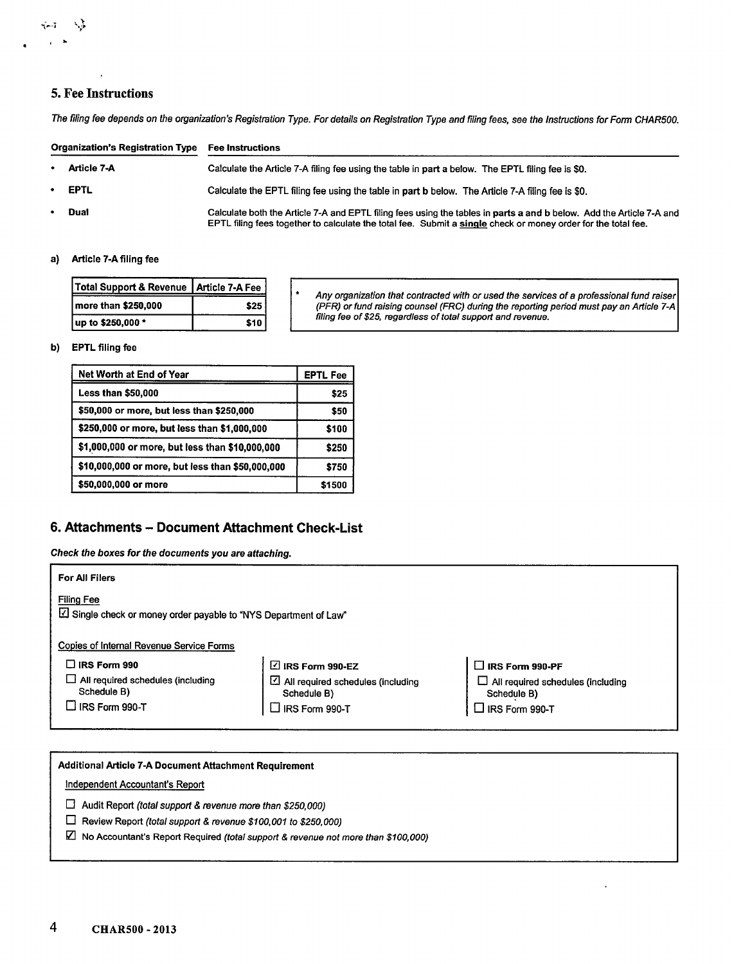### **5. Fee Instructions**

N.)

 $\sim 1$  $\bullet$  $\sim$ 

The filing fee depends on the organization's Registration Type. For details on Registration Type and filing fees, see the Instructions for Form CHAR500.

|   | <b>Organization's Registration Type</b> | <b>Fee Instructions</b>                                                                                                                                                                                                               |
|---|-----------------------------------------|---------------------------------------------------------------------------------------------------------------------------------------------------------------------------------------------------------------------------------------|
|   | • Article 7-A                           | Calculate the Article 7-A filing fee using the table in part a below. The EPTL filing fee is \$0.                                                                                                                                     |
|   | $\cdot$ EPTL                            | Calculate the EPTL filing fee using the table in part b below. The Article 7-A filing fee is \$0.                                                                                                                                     |
| ٠ | <b>Dual</b>                             | Calculate both the Article 7-A and EPTL filing fees using the tables in parts a and b below. Add the Article 7-A and<br>EPTL filing fees together to calculate the total fee. Submit a single check or money order for the total fee. |

#### a) Article 7-A filing fee

| Total Support & Revenue   Article 7-A Fee |      |
|-------------------------------------------|------|
| more than \$250,000                       | \$25 |
| up to \$250,000 *                         | \$10 |

Any organization that contracted with or used the services of a professional fund raiser (PFR) or fund raising counsel (FRC) during the reporting period must pay an Article 74 filing fee of \$25, regardless of total support and revenue.

#### **b) EPTL** filing fee

| Net Worth at End of Year                         | <b>EPTL Fee</b> |
|--------------------------------------------------|-----------------|
| <b>Less than \$50,000</b>                        | \$25            |
| \$50,000 or more, but less than \$250,000        | \$50            |
| \$250,000 or more, but less than \$1,000,000     | \$100           |
| \$1,000,000 or more, but less than \$10,000,000  | \$250           |
| \$10,000,000 or more, but less than \$50,000,000 | \$750           |
| \$50,000,000 or more                             | \$1500          |

## **6. Attachments - Document Attachment Check-List**

Check the boxes for the documents you are attaching.

| <b>For All Filers</b>                                                                 |                                                              |                                                         |
|---------------------------------------------------------------------------------------|--------------------------------------------------------------|---------------------------------------------------------|
| <b>Filing Fee</b><br>Z Single check or money order payable to "NYS Department of Law" |                                                              |                                                         |
| Copies of Internal Revenue Service Forms                                              |                                                              |                                                         |
| $\Box$ IRS Form 990                                                                   | $\boxtimes$ IRS Form 990-EZ                                  | $\Box$ IRS Form 990-PF                                  |
| All required schedules (including<br>Schedule B)                                      | $\boxtimes$ All required schedules (including<br>Schedule B) | $\Box$ All required schedules (including<br>Schedule B) |
| $\Box$ IRS Form 990-T                                                                 | $\Box$ IRS Form 990-T                                        | $\Box$ IRS Form 990-T                                   |
|                                                                                       |                                                              |                                                         |

| <b>Additional Article 7-A Document Attachment Requirement</b>                           |  |
|-----------------------------------------------------------------------------------------|--|
| Independent Accountant's Report                                                         |  |
| Audit Report (total support & revenue more than \$250,000)                              |  |
| Review Report (total support & revenue \$100,001 to \$250,000)<br>Ħ                     |  |
| M.<br>No Accountant's Report Required (total support & revenue not more than \$100,000) |  |
|                                                                                         |  |
|                                                                                         |  |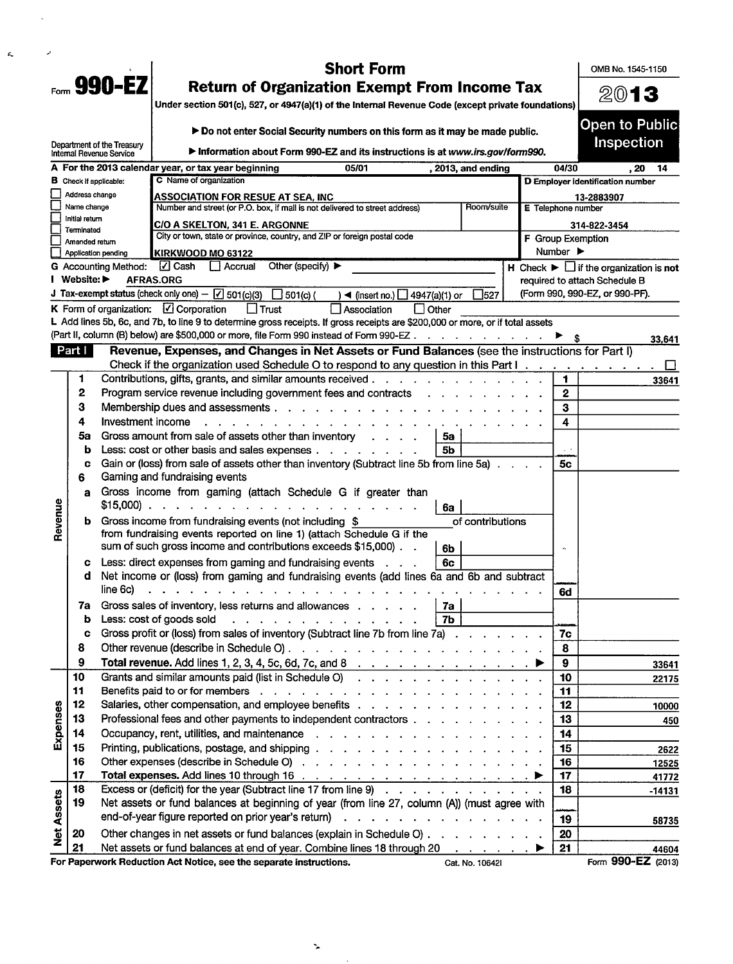|                   |                                |                               | <b>Short Form</b>                                                                                                                                                                                                                                                    |                    |                              | OMB No. 1545-1150                                               |
|-------------------|--------------------------------|-------------------------------|----------------------------------------------------------------------------------------------------------------------------------------------------------------------------------------------------------------------------------------------------------------------|--------------------|------------------------------|-----------------------------------------------------------------|
|                   |                                | Form $990 - EZ$               | <b>Return of Organization Exempt From Income Tax</b><br>Under section 501(c), 527, or 4947(a)(1) of the Internal Revenue Code (except private foundations)                                                                                                           |                    |                              | 2013                                                            |
|                   |                                |                               |                                                                                                                                                                                                                                                                      |                    |                              | <b>Open to Public</b>                                           |
|                   |                                | Department of the Treasury    | Do not enter Social Security numbers on this form as it may be made public.                                                                                                                                                                                          |                    |                              | Inspection                                                      |
|                   |                                | Internal Revenue Service      | Information about Form 990-EZ and its instructions is at www.irs.gov/form990.                                                                                                                                                                                        |                    |                              |                                                                 |
|                   |                                |                               | A For the 2013 calendar year, or tax year beginning<br>05/01<br>, 2013, and ending                                                                                                                                                                                   |                    | 04/30                        | .20<br>-14                                                      |
|                   | Address change                 | <b>B</b> Check if applicable: | C Name of organization                                                                                                                                                                                                                                               |                    |                              | D Employer identification number                                |
|                   | Name change                    |                               | <b>ASSOCIATION FOR RESUE AT SEA, INC</b><br>Number and street (or P.O. box, if mail is not delivered to street address)<br>Room/suite                                                                                                                                | E Telephone number |                              | 13-2883907                                                      |
|                   | Initial return                 |                               |                                                                                                                                                                                                                                                                      |                    |                              |                                                                 |
|                   | Terminated                     |                               | C/O A SKELTON, 341 E. ARGONNE<br>City or town, state or province, country, and ZIP or foreign postal code                                                                                                                                                            | F Group Exemption  |                              | 314-822-3454                                                    |
|                   | Amended return                 | Application pending           | KIRKWOOD MO 63122                                                                                                                                                                                                                                                    |                    | Number $\blacktriangleright$ |                                                                 |
|                   |                                | <b>G</b> Accounting Method:   | √ Cash<br>Other (specify) ▶<br>II Accrual                                                                                                                                                                                                                            |                    |                              | H Check $\blacktriangleright$ $\Box$ if the organization is not |
|                   | Website: $\blacktriangleright$ |                               | <b>AFRAS.ORG</b>                                                                                                                                                                                                                                                     |                    |                              | required to attach Schedule B                                   |
|                   |                                |                               | J Tax-exempt status (check only one) $-\sqrt{ }$ 501(c)(3)<br>$\Box$ 501(c) (<br>∃527<br>$\blacktriangleleft$ (insert no.) $\Box$ 4947(a)(1) or                                                                                                                      |                    |                              | (Form 990, 990-EZ, or 990-PF).                                  |
|                   |                                |                               | K Form of organization: $\Box$ Corporation<br>$\Box$ Trust<br>$\Box$ Association<br>$\Box$ Other                                                                                                                                                                     |                    |                              |                                                                 |
|                   |                                |                               | L Add lines 5b, 6c, and 7b, to line 9 to determine gross receipts. If gross receipts are \$200,000 or more, or if total assets                                                                                                                                       |                    |                              |                                                                 |
|                   |                                |                               | (Part II, column (B) below) are \$500,000 or more, file Form 990 instead of Form 990-EZ                                                                                                                                                                              |                    |                              | 33,641                                                          |
|                   | Part I                         |                               | Revenue, Expenses, and Changes in Net Assets or Fund Balances (see the instructions for Part I)                                                                                                                                                                      |                    |                              |                                                                 |
|                   |                                |                               | Check if the organization used Schedule O to respond to any question in this Part I.                                                                                                                                                                                 |                    |                              | ப                                                               |
|                   | 1                              |                               | Contributions, gifts, grants, and similar amounts received.<br>$\mathbf{r} = \mathbf{r} - \mathbf{r} = \mathbf{r} - \mathbf{r} = \mathbf{r} - \mathbf{r} = \mathbf{r} - \mathbf{r} = \mathbf{r} - \mathbf{r}$                                                        |                    | 1                            | 33641                                                           |
|                   | 2<br>з                         |                               | Program service revenue including government fees and contracts                                                                                                                                                                                                      |                    | $\boldsymbol{2}$             |                                                                 |
|                   | 4                              | Investment income             | Membership dues and assessments<br>$\mathbf{r}$ . The set of the set of the set of the set of the set of the set of the set of the set of the set of the set of the set of the set of the set of the set of the set of the set of the set of the set of the set of t |                    | 3                            |                                                                 |
|                   | 5a                             |                               | Gross amount from sale of assets other than inventory<br>5a                                                                                                                                                                                                          |                    | 4                            |                                                                 |
|                   | b                              |                               | Less: cost or other basis and sales expenses<br>5b                                                                                                                                                                                                                   |                    | $\omega \rightarrow$         |                                                                 |
|                   | c                              |                               | Gain or (loss) from sale of assets other than inventory (Subtract line 5b from line 5a)                                                                                                                                                                              |                    | 5c                           |                                                                 |
|                   | 6                              |                               | Gaming and fundraising events                                                                                                                                                                                                                                        |                    |                              |                                                                 |
|                   | a                              |                               | Gross income from gaming (attach Schedule G if greater than                                                                                                                                                                                                          |                    |                              |                                                                 |
|                   |                                |                               | $$15,000$<br>6a                                                                                                                                                                                                                                                      |                    |                              |                                                                 |
| Revenue           |                                |                               | <b>b</b> Gross income from fundraising events (not including \$<br>of contributions                                                                                                                                                                                  |                    |                              |                                                                 |
|                   |                                |                               | from fundraising events reported on line 1) (attach Schedule G if the                                                                                                                                                                                                |                    |                              |                                                                 |
|                   |                                |                               | sum of such gross income and contributions exceeds \$15,000).<br>6b                                                                                                                                                                                                  |                    |                              |                                                                 |
|                   | c                              |                               | Less: direct expenses from gaming and fundraising events<br>6c                                                                                                                                                                                                       |                    |                              |                                                                 |
|                   | d                              |                               | Net income or (loss) from gaming and fundraising events (add lines 6a and 6b and subtract                                                                                                                                                                            |                    |                              |                                                                 |
|                   |                                | line 6c)                      | المناصر والمناور والمناور والمناور والمناور والمناور والمناور والمناور والمناور والمناور والمناور                                                                                                                                                                    |                    | 6d                           |                                                                 |
|                   | 7a                             |                               | Gross sales of inventory, less returns and allowances<br>  7a                                                                                                                                                                                                        |                    |                              |                                                                 |
|                   | b                              |                               | 7 <sub>b</sub><br>Less: cost of goods sold                                                                                                                                                                                                                           |                    |                              |                                                                 |
|                   | C<br>8                         |                               | Gross profit or (loss) from sales of inventory (Subtract line 7b from line 7a)                                                                                                                                                                                       |                    | 7c<br>8                      |                                                                 |
|                   | 9                              |                               | Total revenue. Add lines 1, 2, 3, 4, 5c, 6d, 7c, and 8 $\ldots$ $\ldots$ $\ldots$ $\ldots$ $\ldots$                                                                                                                                                                  |                    | 9                            |                                                                 |
|                   | 10                             |                               | Grants and similar amounts paid (list in Schedule O)                                                                                                                                                                                                                 |                    | 10                           | 33641                                                           |
|                   | 11                             |                               |                                                                                                                                                                                                                                                                      |                    | 11                           | 22175                                                           |
|                   | 12                             |                               | Salaries, other compensation, and employee benefits                                                                                                                                                                                                                  |                    | 12                           | 10000                                                           |
|                   | 13                             |                               | Professional fees and other payments to independent contractors                                                                                                                                                                                                      |                    | 13                           | 450                                                             |
| Expenses          | 14                             |                               | Occupancy, rent, utilities, and maintenance                                                                                                                                                                                                                          |                    | 14                           |                                                                 |
|                   | 15                             |                               | Printing, publications, postage, and shipping                                                                                                                                                                                                                        |                    | 15                           | 2622                                                            |
|                   | 16                             |                               |                                                                                                                                                                                                                                                                      |                    | 16                           | 12525                                                           |
|                   | 17                             |                               |                                                                                                                                                                                                                                                                      |                    | 17                           | 41772                                                           |
|                   | 18                             |                               | Excess or (deficit) for the year (Subtract line 17 from line 9)                                                                                                                                                                                                      |                    | 18                           | $-14131$                                                        |
|                   | 19                             |                               | Net assets or fund balances at beginning of year (from line 27, column (A)) (must agree with                                                                                                                                                                         |                    |                              |                                                                 |
|                   |                                |                               | end-of-year figure reported on prior year's return )                                                                                                                                                                                                                 |                    | 19                           | 58735                                                           |
| <b>Net Assets</b> | 20                             |                               | Other changes in net assets or fund balances (explain in Schedule O)                                                                                                                                                                                                 |                    | 20                           |                                                                 |
|                   | 21                             |                               | Net assets or fund balances at end of year. Combine lines 18 through 20                                                                                                                                                                                              |                    | 21                           | 44604                                                           |
|                   |                                |                               | For Paperwork Reduction Act Notice, see the separate instructions.<br>Cat. No. 10642I                                                                                                                                                                                |                    |                              | Form 990-EZ (2013)                                              |

 $\ddot{\phantom{a}}$ 

 $\ddot{\phantom{0}}$ 

 $\bar{\mathbf{r}}$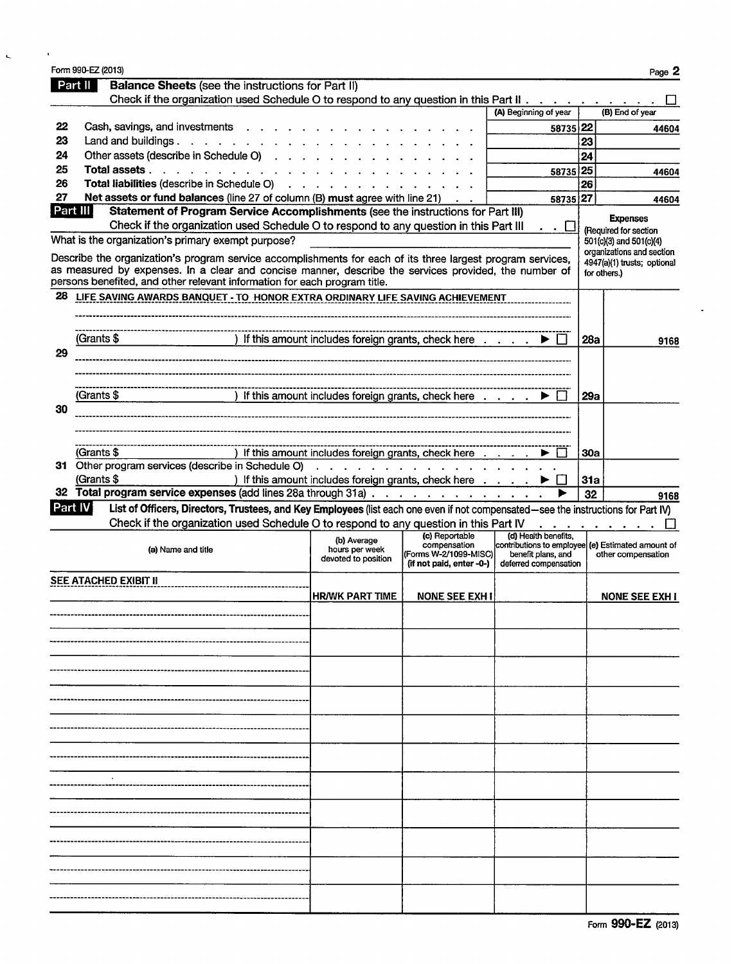|          | Part II                                                                                                                                                                                                                                                                                           |                    | <b>Balance Sheets (see the instructions for Part II)</b> |                                                                                                                                                                                      |                                                                                     |                                                                                                                          |            |                                                                          |
|----------|---------------------------------------------------------------------------------------------------------------------------------------------------------------------------------------------------------------------------------------------------------------------------------------------------|--------------------|----------------------------------------------------------|--------------------------------------------------------------------------------------------------------------------------------------------------------------------------------------|-------------------------------------------------------------------------------------|--------------------------------------------------------------------------------------------------------------------------|------------|--------------------------------------------------------------------------|
|          |                                                                                                                                                                                                                                                                                                   |                    |                                                          | Check if the organization used Schedule O to respond to any question in this Part II                                                                                                 |                                                                                     |                                                                                                                          |            |                                                                          |
|          |                                                                                                                                                                                                                                                                                                   |                    |                                                          |                                                                                                                                                                                      |                                                                                     | (A) Beginning of year                                                                                                    |            | (B) End of year                                                          |
| 22<br>23 | Cash, savings, and investments<br>Land and buildings.                                                                                                                                                                                                                                             |                    |                                                          |                                                                                                                                                                                      |                                                                                     | 58735 22                                                                                                                 |            | 44604                                                                    |
| 24       | Other assets (describe in Schedule O)                                                                                                                                                                                                                                                             |                    |                                                          |                                                                                                                                                                                      |                                                                                     |                                                                                                                          | 23<br>24   |                                                                          |
| 25       | Total assets                                                                                                                                                                                                                                                                                      |                    |                                                          |                                                                                                                                                                                      |                                                                                     | 58735 25                                                                                                                 |            |                                                                          |
| 26       |                                                                                                                                                                                                                                                                                                   |                    |                                                          | Total liabilities (describe in Schedule O)                                                                                                                                           |                                                                                     |                                                                                                                          | 26         | 44604                                                                    |
| 27       |                                                                                                                                                                                                                                                                                                   |                    |                                                          | Net assets or fund balances (line 27 of column $(B)$ must agree with line 21) $\ldots$                                                                                               |                                                                                     | 58735 27                                                                                                                 |            | 44604                                                                    |
|          | Part III                                                                                                                                                                                                                                                                                          |                    |                                                          | Statement of Program Service Accomplishments (see the instructions for Part III)                                                                                                     |                                                                                     |                                                                                                                          |            |                                                                          |
|          |                                                                                                                                                                                                                                                                                                   |                    |                                                          | Check if the organization used Schedule O to respond to any question in this Part III                                                                                                |                                                                                     |                                                                                                                          |            | <b>Expenses</b><br>(Required for section                                 |
|          | What is the organization's primary exempt purpose?                                                                                                                                                                                                                                                |                    |                                                          |                                                                                                                                                                                      |                                                                                     |                                                                                                                          |            | 501(c)(3) and 501(c)(4)                                                  |
|          | Describe the organization's program service accomplishments for each of its three largest program services,<br>as measured by expenses. In a clear and concise manner, describe the services provided, the number of<br>persons benefited, and other relevant information for each program title. |                    |                                                          |                                                                                                                                                                                      |                                                                                     |                                                                                                                          |            | organizations and section<br>4947(a)(1) trusts; optional<br>for others.) |
| 28       | LIFE SAVING AWARDS BANQUET - TO HONOR EXTRA ORDINARY LIFE SAVING ACHIEVEMENT                                                                                                                                                                                                                      |                    |                                                          |                                                                                                                                                                                      |                                                                                     |                                                                                                                          |            |                                                                          |
|          |                                                                                                                                                                                                                                                                                                   |                    |                                                          |                                                                                                                                                                                      |                                                                                     |                                                                                                                          |            |                                                                          |
|          |                                                                                                                                                                                                                                                                                                   |                    |                                                          |                                                                                                                                                                                      |                                                                                     |                                                                                                                          |            |                                                                          |
|          | (Grants \$                                                                                                                                                                                                                                                                                        |                    |                                                          | ) If this amount includes foreign grants, check here $\dots$ $\ldots$ $\blacktriangleright$ $\square$                                                                                |                                                                                     |                                                                                                                          | 28а        | 9168                                                                     |
| 29       |                                                                                                                                                                                                                                                                                                   |                    |                                                          |                                                                                                                                                                                      |                                                                                     |                                                                                                                          |            |                                                                          |
|          |                                                                                                                                                                                                                                                                                                   |                    |                                                          |                                                                                                                                                                                      |                                                                                     |                                                                                                                          |            |                                                                          |
|          | (Grants \$                                                                                                                                                                                                                                                                                        |                    |                                                          | ) If this amount includes foreign grants, check here                                                                                                                                 |                                                                                     |                                                                                                                          | 29а        |                                                                          |
| 30       |                                                                                                                                                                                                                                                                                                   |                    |                                                          |                                                                                                                                                                                      |                                                                                     |                                                                                                                          |            |                                                                          |
|          |                                                                                                                                                                                                                                                                                                   |                    |                                                          |                                                                                                                                                                                      |                                                                                     |                                                                                                                          |            |                                                                          |
|          |                                                                                                                                                                                                                                                                                                   |                    |                                                          |                                                                                                                                                                                      |                                                                                     |                                                                                                                          |            |                                                                          |
|          |                                                                                                                                                                                                                                                                                                   |                    |                                                          |                                                                                                                                                                                      |                                                                                     |                                                                                                                          |            |                                                                          |
|          | (Grants \$                                                                                                                                                                                                                                                                                        |                    |                                                          |                                                                                                                                                                                      |                                                                                     |                                                                                                                          | <b>30a</b> |                                                                          |
|          | 31 Other program services (describe in Schedule O)                                                                                                                                                                                                                                                |                    |                                                          | ) If this amount includes foreign grants, check here                                                                                                                                 |                                                                                     |                                                                                                                          |            |                                                                          |
|          | (Grants \$                                                                                                                                                                                                                                                                                        |                    |                                                          | $\mathcal{L}_{\mathcal{A}}$ . The second contribution of the second contribution of the second contribution of $\mathcal{A}$<br>) If this amount includes foreign grants, check here |                                                                                     |                                                                                                                          | 31a        |                                                                          |
|          | 32 Total program service expenses (add lines 28a through 31a)                                                                                                                                                                                                                                     |                    |                                                          |                                                                                                                                                                                      |                                                                                     |                                                                                                                          | 32         | 9168                                                                     |
|          | Part IV                                                                                                                                                                                                                                                                                           |                    |                                                          | List of Officers, Directors, Trustees, and Key Employees (list each one even if not compensated—see the instructions for Part IV)                                                    |                                                                                     |                                                                                                                          |            |                                                                          |
|          |                                                                                                                                                                                                                                                                                                   |                    |                                                          | Check if the organization used Schedule O to respond to any question in this Part IV                                                                                                 |                                                                                     |                                                                                                                          |            |                                                                          |
|          |                                                                                                                                                                                                                                                                                                   | (a) Name and title |                                                          | (b) Average<br>hours per week<br>devoted to position                                                                                                                                 | (c) Reportable<br>compensation<br>(Forms W-2/1099-MISC)<br>(if not paid, enter -0-) | (d) Health benefits.<br>contributions to employee (e) Estimated amount of<br>benefit plans, and<br>deferred compensation |            | other compensation                                                       |
|          | SEE ATACHED EXIBIT II                                                                                                                                                                                                                                                                             |                    |                                                          |                                                                                                                                                                                      |                                                                                     |                                                                                                                          |            |                                                                          |
|          |                                                                                                                                                                                                                                                                                                   |                    |                                                          | <b>HR/WK PART TIME</b>                                                                                                                                                               | <b>NONE SEE EXH I</b>                                                               |                                                                                                                          |            |                                                                          |
|          |                                                                                                                                                                                                                                                                                                   |                    |                                                          |                                                                                                                                                                                      |                                                                                     |                                                                                                                          |            | <b>NONE SEE EXH I</b>                                                    |
|          |                                                                                                                                                                                                                                                                                                   |                    |                                                          |                                                                                                                                                                                      |                                                                                     |                                                                                                                          |            |                                                                          |
|          |                                                                                                                                                                                                                                                                                                   |                    |                                                          |                                                                                                                                                                                      |                                                                                     |                                                                                                                          |            |                                                                          |
|          |                                                                                                                                                                                                                                                                                                   |                    |                                                          |                                                                                                                                                                                      |                                                                                     |                                                                                                                          |            |                                                                          |
|          |                                                                                                                                                                                                                                                                                                   |                    |                                                          |                                                                                                                                                                                      |                                                                                     |                                                                                                                          |            |                                                                          |
|          |                                                                                                                                                                                                                                                                                                   |                    |                                                          |                                                                                                                                                                                      |                                                                                     |                                                                                                                          |            |                                                                          |
|          |                                                                                                                                                                                                                                                                                                   |                    |                                                          |                                                                                                                                                                                      |                                                                                     |                                                                                                                          |            |                                                                          |
|          |                                                                                                                                                                                                                                                                                                   |                    |                                                          |                                                                                                                                                                                      |                                                                                     |                                                                                                                          |            |                                                                          |
|          |                                                                                                                                                                                                                                                                                                   |                    |                                                          |                                                                                                                                                                                      |                                                                                     |                                                                                                                          |            |                                                                          |
|          |                                                                                                                                                                                                                                                                                                   |                    |                                                          |                                                                                                                                                                                      |                                                                                     |                                                                                                                          |            |                                                                          |
|          |                                                                                                                                                                                                                                                                                                   |                    |                                                          |                                                                                                                                                                                      |                                                                                     |                                                                                                                          |            |                                                                          |
|          |                                                                                                                                                                                                                                                                                                   |                    |                                                          |                                                                                                                                                                                      |                                                                                     |                                                                                                                          |            |                                                                          |
|          |                                                                                                                                                                                                                                                                                                   |                    |                                                          |                                                                                                                                                                                      |                                                                                     |                                                                                                                          |            |                                                                          |
|          |                                                                                                                                                                                                                                                                                                   |                    |                                                          |                                                                                                                                                                                      |                                                                                     |                                                                                                                          |            |                                                                          |
|          |                                                                                                                                                                                                                                                                                                   |                    |                                                          |                                                                                                                                                                                      |                                                                                     |                                                                                                                          |            |                                                                          |
|          |                                                                                                                                                                                                                                                                                                   |                    |                                                          |                                                                                                                                                                                      |                                                                                     |                                                                                                                          |            |                                                                          |
|          |                                                                                                                                                                                                                                                                                                   |                    |                                                          |                                                                                                                                                                                      |                                                                                     |                                                                                                                          |            |                                                                          |
|          |                                                                                                                                                                                                                                                                                                   |                    |                                                          |                                                                                                                                                                                      |                                                                                     |                                                                                                                          |            |                                                                          |
|          |                                                                                                                                                                                                                                                                                                   |                    |                                                          |                                                                                                                                                                                      |                                                                                     |                                                                                                                          |            |                                                                          |

 $\mathcal{L}$ 

 $\tilde{\phantom{a}}$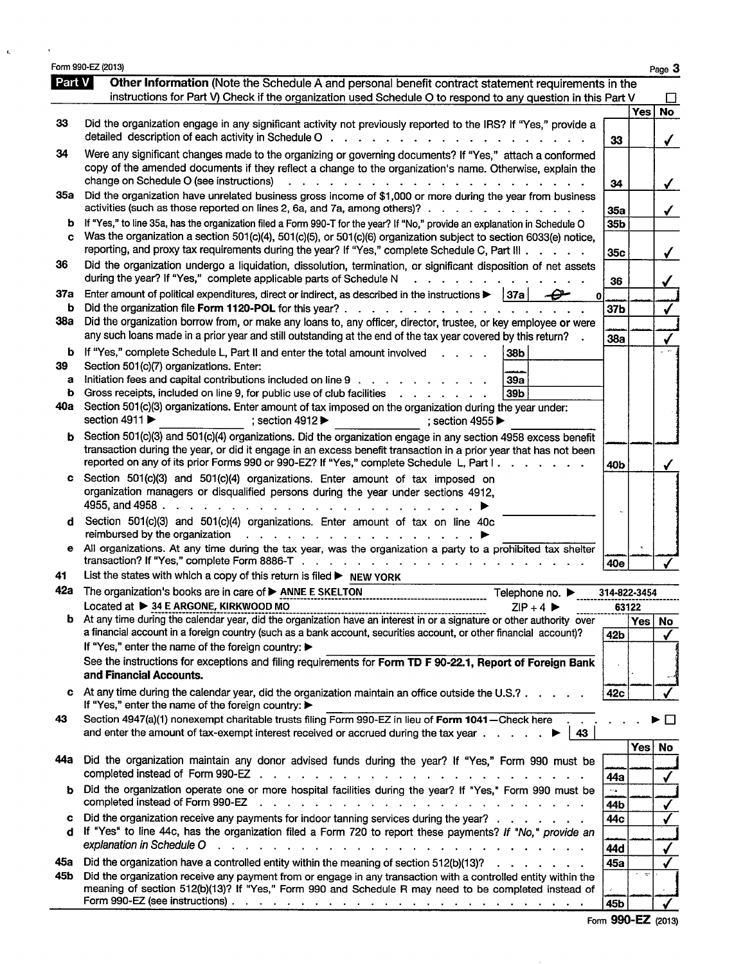|            | Form 990-EZ (2013)                                                                                                                                                                                                                                                                    |              |          |
|------------|---------------------------------------------------------------------------------------------------------------------------------------------------------------------------------------------------------------------------------------------------------------------------------------|--------------|----------|
| Part $V$   | Other Information (Note the Schedule A and personal benefit contract statement requirements in the                                                                                                                                                                                    |              |          |
|            | instructions for Part V) Check if the organization used Schedule O to respond to any question in this Part V                                                                                                                                                                          |              |          |
| 33         | Did the organization engage in any significant activity not previously reported to the IRS? If "Yes," provide a                                                                                                                                                                       |              | Yes      |
|            | detailed description of each activity in Schedule O<br>design and contract the contract of the contract of the contract of the contract of the contract of the contract of the contract of the contract of the contract of the contract of the contract of the contract of the contra | 33           |          |
| 34         |                                                                                                                                                                                                                                                                                       |              |          |
|            | Were any significant changes made to the organizing or governing documents? If "Yes," attach a conformed<br>copy of the amended documents if they reflect a change to the organization's name. Otherwise, explain the                                                                 |              |          |
|            | change on Schedule O (see instructions)                                                                                                                                                                                                                                               | 34           |          |
|            | 35a Did the organization have unrelated business gross income of \$1,000 or more during the year from business                                                                                                                                                                        |              |          |
|            | activities (such as those reported on lines 2, 6a, and 7a, among others)?                                                                                                                                                                                                             | 35a          |          |
| b          | If "Yes," to line 35a, has the organization filed a Form 990-T for the year? If "No," provide an explanation in Schedule O                                                                                                                                                            | 35b          |          |
| C          | Was the organization a section 501(c)(4), 501(c)(5), or 501(c)(6) organization subject to section 6033(e) notice,                                                                                                                                                                     |              |          |
|            | reporting, and proxy tax requirements during the year? If "Yes," complete Schedule C, Part III                                                                                                                                                                                        | 35c          |          |
| 36         | Did the organization undergo a liquidation, dissolution, termination, or significant disposition of net assets                                                                                                                                                                        |              |          |
|            | during the year? If "Yes," complete applicable parts of Schedule N<br><b>Contract Contract Contract Contract</b>                                                                                                                                                                      | 36           |          |
| 37a        | Enter amount of political expenditures, direct or indirect, as described in the instructions $\blacktriangleright$   37a  <br>$\bf{0}$                                                                                                                                                |              |          |
| b          | Did the organization file Form 1120-POL for this year?                                                                                                                                                                                                                                | 37b          |          |
| <b>38a</b> | Did the organization borrow from, or make any loans to, any officer, director, trustee, or key employee or were                                                                                                                                                                       |              |          |
|            | any such loans made in a prior year and still outstanding at the end of the tax year covered by this return?                                                                                                                                                                          | 38a          |          |
| b          | If "Yes," complete Schedule L, Part II and enter the total amount involved<br>38b                                                                                                                                                                                                     |              |          |
| 39         | Section 501(c)(7) organizations. Enter:                                                                                                                                                                                                                                               |              |          |
| a          | Initiation fees and capital contributions included on line 9<br>39a                                                                                                                                                                                                                   |              |          |
| b          | Gross receipts, included on line 9, for public use of club facilities<br>39 <sub>b</sub><br>40a Section 501(c)(3) organizations. Enter amount of tax imposed on the organization during the year under:                                                                               |              |          |
|            | section 4911<br>; section $4912 \blacktriangleright$<br>; section 4955 $\blacktriangleright$                                                                                                                                                                                          |              |          |
|            | Section 501(c)(3) and 501(c)(4) organizations. Did the organization engage in any section 4958 excess benefit                                                                                                                                                                         |              |          |
| b          | transaction during the year, or did it engage in an excess benefit transaction in a prior year that has not been                                                                                                                                                                      |              |          |
|            | reported on any of its prior Forms 990 or 990-EZ? If "Yes," complete Schedule L, Part I.                                                                                                                                                                                              | 40b          |          |
| c          | Section 501(c)(3) and 501(c)(4) organizations. Enter amount of tax imposed on                                                                                                                                                                                                         |              |          |
|            | organization managers or disqualified persons during the year under sections 4912,                                                                                                                                                                                                    |              |          |
|            |                                                                                                                                                                                                                                                                                       |              |          |
| d          | Section 501(c)(3) and 501(c)(4) organizations. Enter amount of tax on line 40c                                                                                                                                                                                                        |              |          |
|            | reimbursed by the organization<br><u>. Karl Andrea Stadt Stadt Stadt Stadt Stadt Stadt Stadt Stadt Stadt Stadt Stadt Stadt Stadt Stadt Stadt Stadt Stadt Stadt Stadt Stadt Stadt Stadt Stadt Stadt Stadt Stadt Stadt Stadt Stadt Stadt Stadt Stadt Stadt Stadt Sta</u>                |              |          |
| е          | All organizations. At any time during the tax year, was the organization a party to a prohibited tax shelter                                                                                                                                                                          |              |          |
|            | transaction? If "Yes," complete Form 8886-T                                                                                                                                                                                                                                           | 40e          |          |
| 41         | List the states with which a copy of this return is filed $\blacktriangleright$ NEW YORK                                                                                                                                                                                              |              |          |
|            | 42a The organization's books are in care of > ANNE E SKELTON<br>Telephone no. ▶                                                                                                                                                                                                       | 314-822-3454 |          |
|            | Located at ▶ 34 E ARGONE, KIRKWOOD MO<br>$ZIP + 4$                                                                                                                                                                                                                                    |              | 63122    |
|            | <b>b</b> At any time during the calendar year, did the organization have an interest in or a signature or other authority over<br>a financial account in a foreign country (such as a bank account, securities account, or other financial account)?                                  |              | Yes   No |
|            | If "Yes," enter the name of the foreign country: ▶                                                                                                                                                                                                                                    | 42b          |          |
|            | See the instructions for exceptions and filing requirements for Form TD F 90-22.1, Report of Foreign Bank                                                                                                                                                                             |              |          |
|            | and Financial Accounts.                                                                                                                                                                                                                                                               |              |          |
| c          | At any time during the calendar year, did the organization maintain an office outside the U.S.?                                                                                                                                                                                       |              |          |
|            | If "Yes," enter the name of the foreign country: ▶                                                                                                                                                                                                                                    | 42c          |          |
| 43         | Section 4947(a)(1) nonexempt charitable trusts filing Form 990-EZ in lieu of Form 1041-Check here                                                                                                                                                                                     |              |          |
|            | and enter the amount of tax-exempt interest received or accrued during the tax year $\dots$ .<br>43                                                                                                                                                                                   |              |          |
|            |                                                                                                                                                                                                                                                                                       |              | Yes No   |
| 44а        | Did the organization maintain any donor advised funds during the year? If "Yes," Form 990 must be                                                                                                                                                                                     |              |          |
|            | completed instead of Form 990-EZ                                                                                                                                                                                                                                                      | 44a          |          |
| ь          | Did the organization operate one or more hospital facilities during the year? If "Yes," Form 990 must be                                                                                                                                                                              |              |          |
|            | completed instead of Form 990-EZ<br>and a complete the complete state of the complete state of the state of the state of the state of the state of                                                                                                                                    | 44b          |          |
| c          | Did the organization receive any payments for indoor tanning services during the year?                                                                                                                                                                                                | 44c          |          |
|            | If "Yes" to line 44c, has the organization filed a Form 720 to report these payments? If "No," provide an                                                                                                                                                                             |              |          |
|            | explanation in Schedule O<br>a construction of the construction of the construction of the construction of the construction of the construction of the construction of the construction of the construction of the construction of the construction of the                            | 44d          |          |
| 45а        | Did the organization have a controlled entity within the meaning of section $512(b)(13)?$                                                                                                                                                                                             | 45a          |          |
| 45b        | Did the organization receive any payment from or engage in any transaction with a controlled entity within the                                                                                                                                                                        |              |          |
|            | meaning of section 512(b)(13)? If "Yes," Form 990 and Schedule R may need to be completed instead of                                                                                                                                                                                  |              |          |

Form **990-EZ** (2013)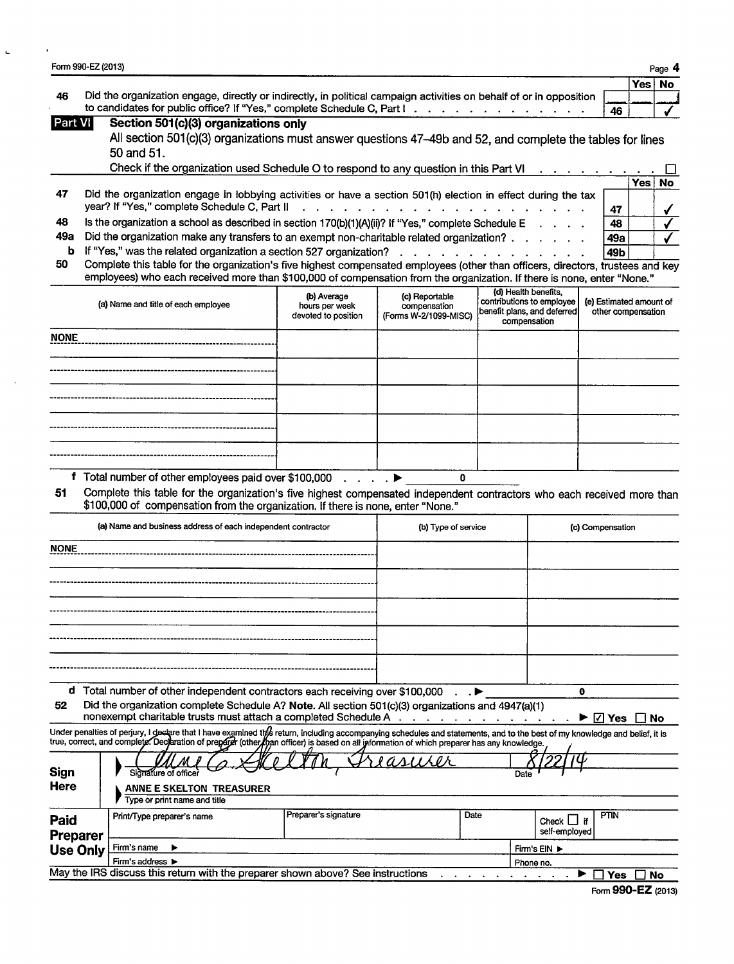| Form 990-EZ (2013)                         |                                                                                                                                                                                                                                   |                                       |                                       |                                                   |                                  |                                |            |
|--------------------------------------------|-----------------------------------------------------------------------------------------------------------------------------------------------------------------------------------------------------------------------------------|---------------------------------------|---------------------------------------|---------------------------------------------------|----------------------------------|--------------------------------|------------|
| 46                                         | Did the organization engage, directly or indirectly, in political campaign activities on behalf of or in opposition                                                                                                               |                                       |                                       |                                                   |                                  |                                | Yes   No   |
|                                            | to candidates for public office? If "Yes," complete Schedule C, Part I.                                                                                                                                                           |                                       |                                       |                                                   |                                  |                                | 46         |
| Part VI                                    | Section 501(c)(3) organizations only                                                                                                                                                                                              |                                       |                                       |                                                   |                                  |                                |            |
|                                            | All section 501(c)(3) organizations must answer questions 47-49b and 52, and complete the tables for lines                                                                                                                        |                                       |                                       |                                                   |                                  |                                |            |
|                                            | 50 and 51.                                                                                                                                                                                                                        |                                       |                                       |                                                   |                                  |                                |            |
|                                            | Check if the organization used Schedule O to respond to any question in this Part VI                                                                                                                                              |                                       |                                       |                                                   |                                  |                                |            |
| 47                                         | Did the organization engage in lobbying activities or have a section 501(h) election in effect during the tax                                                                                                                     |                                       |                                       |                                                   |                                  |                                | <b>Yes</b> |
|                                            | year? If "Yes," complete Schedule C, Part II                                                                                                                                                                                      |                                       |                                       |                                                   |                                  |                                | 47         |
| 48                                         | Is the organization a school as described in section 170(b)(1)(A)(ii)? If "Yes," complete Schedule E                                                                                                                              |                                       |                                       |                                                   |                                  |                                | 48         |
| 49а                                        | Did the organization make any transfers to an exempt non-charitable related organization?                                                                                                                                         |                                       |                                       |                                                   |                                  |                                | 49a        |
| b                                          | If "Yes," was the related organization a section 527 organization?                                                                                                                                                                |                                       |                                       |                                                   |                                  |                                | 49b        |
| 50                                         | Complete this table for the organization's five highest compensated employees (other than officers, directors, trustees and key                                                                                                   |                                       |                                       |                                                   |                                  |                                |            |
|                                            | employees) who each received more than \$100,000 of compensation from the organization. If there is none, enter "None."                                                                                                           |                                       |                                       |                                                   |                                  |                                |            |
|                                            |                                                                                                                                                                                                                                   | (b) Average                           | (c) Reportable                        | (d) Health benefits,<br>contributions to employee |                                  | (e) Estimated amount of        |            |
|                                            | (a) Name and title of each employee                                                                                                                                                                                               | hours per week<br>devoted to position | compensation<br>(Forms W-2/1099-MISC) | benefit plans, and deferred                       |                                  | other compensation             |            |
|                                            |                                                                                                                                                                                                                                   |                                       |                                       | compensation                                      |                                  |                                |            |
| <b>NONE</b>                                |                                                                                                                                                                                                                                   |                                       |                                       |                                                   |                                  |                                |            |
|                                            |                                                                                                                                                                                                                                   |                                       |                                       |                                                   |                                  |                                |            |
|                                            |                                                                                                                                                                                                                                   |                                       |                                       |                                                   |                                  |                                |            |
|                                            |                                                                                                                                                                                                                                   |                                       |                                       |                                                   |                                  |                                |            |
|                                            |                                                                                                                                                                                                                                   |                                       |                                       |                                                   |                                  |                                |            |
|                                            |                                                                                                                                                                                                                                   |                                       |                                       |                                                   |                                  |                                |            |
|                                            |                                                                                                                                                                                                                                   |                                       |                                       |                                                   |                                  |                                |            |
|                                            |                                                                                                                                                                                                                                   |                                       |                                       |                                                   |                                  |                                |            |
|                                            |                                                                                                                                                                                                                                   |                                       |                                       |                                                   |                                  |                                |            |
|                                            |                                                                                                                                                                                                                                   |                                       |                                       |                                                   |                                  |                                |            |
|                                            |                                                                                                                                                                                                                                   |                                       | $\mathbf{0}$                          |                                                   |                                  |                                |            |
| 51                                         | <b>f</b> Total number of other employees paid over \$100,000 $\ldots$ ,                                                                                                                                                           |                                       |                                       |                                                   |                                  |                                |            |
|                                            | Complete this table for the organization's five highest compensated independent contractors who each received more than<br>\$100,000 of compensation from the organization. If there is none, enter "None."                       |                                       |                                       |                                                   |                                  |                                |            |
|                                            |                                                                                                                                                                                                                                   |                                       |                                       |                                                   |                                  |                                |            |
|                                            | (a) Name and business address of each independent contractor                                                                                                                                                                      |                                       | (b) Type of service                   |                                                   |                                  | (c) Compensation               |            |
|                                            |                                                                                                                                                                                                                                   |                                       |                                       |                                                   |                                  |                                |            |
|                                            |                                                                                                                                                                                                                                   |                                       |                                       |                                                   |                                  |                                |            |
|                                            |                                                                                                                                                                                                                                   |                                       |                                       |                                                   |                                  |                                |            |
|                                            |                                                                                                                                                                                                                                   |                                       |                                       |                                                   |                                  |                                |            |
| <b>NONE</b>                                |                                                                                                                                                                                                                                   |                                       |                                       |                                                   |                                  |                                |            |
|                                            |                                                                                                                                                                                                                                   |                                       |                                       |                                                   |                                  |                                |            |
|                                            |                                                                                                                                                                                                                                   |                                       |                                       |                                                   |                                  |                                |            |
|                                            |                                                                                                                                                                                                                                   |                                       |                                       |                                                   |                                  |                                |            |
|                                            |                                                                                                                                                                                                                                   |                                       |                                       |                                                   |                                  |                                |            |
|                                            |                                                                                                                                                                                                                                   |                                       |                                       |                                                   |                                  |                                |            |
|                                            | d Total number of other independent contractors each receiving over \$100,000                                                                                                                                                     |                                       |                                       |                                                   |                                  | 0                              |            |
| 52                                         | Did the organization complete Schedule A? Note. All section 501(c)(3) organizations and 4947(a)(1)                                                                                                                                |                                       |                                       |                                                   |                                  |                                |            |
|                                            | nonexempt charitable trusts must attach a completed Schedule A                                                                                                                                                                    |                                       |                                       |                                                   |                                  | $\blacktriangleright \Box$ Yes |            |
|                                            | Under penalties of perjury, I deslare that I have examined the return, including accompanying schedules and statements, and to the best of my knowledge and belief, it is<br>true, correct, and complete. Decleration of preparer |                                       |                                       |                                                   |                                  |                                |            |
|                                            |                                                                                                                                                                                                                                   |                                       |                                       |                                                   |                                  |                                |            |
|                                            | Signature of officer                                                                                                                                                                                                              |                                       |                                       | Date                                              |                                  |                                |            |
|                                            | <b>ANNE E SKELTON TREASURER</b>                                                                                                                                                                                                   |                                       |                                       |                                                   |                                  |                                |            |
| <b>Sign</b><br>Here                        | Type or print name and title                                                                                                                                                                                                      |                                       |                                       |                                                   |                                  |                                |            |
|                                            | Print/Type preparer's name                                                                                                                                                                                                        | Preparer's signature                  | Date                                  |                                                   |                                  | PTIN                           |            |
|                                            |                                                                                                                                                                                                                                   |                                       |                                       |                                                   | Check $\Box$ if<br>self-employed |                                |            |
| Paid<br><b>Preparer</b><br><b>Use Only</b> | Firm's name                                                                                                                                                                                                                       |                                       |                                       |                                                   | Firm's EIN ▶                     |                                |            |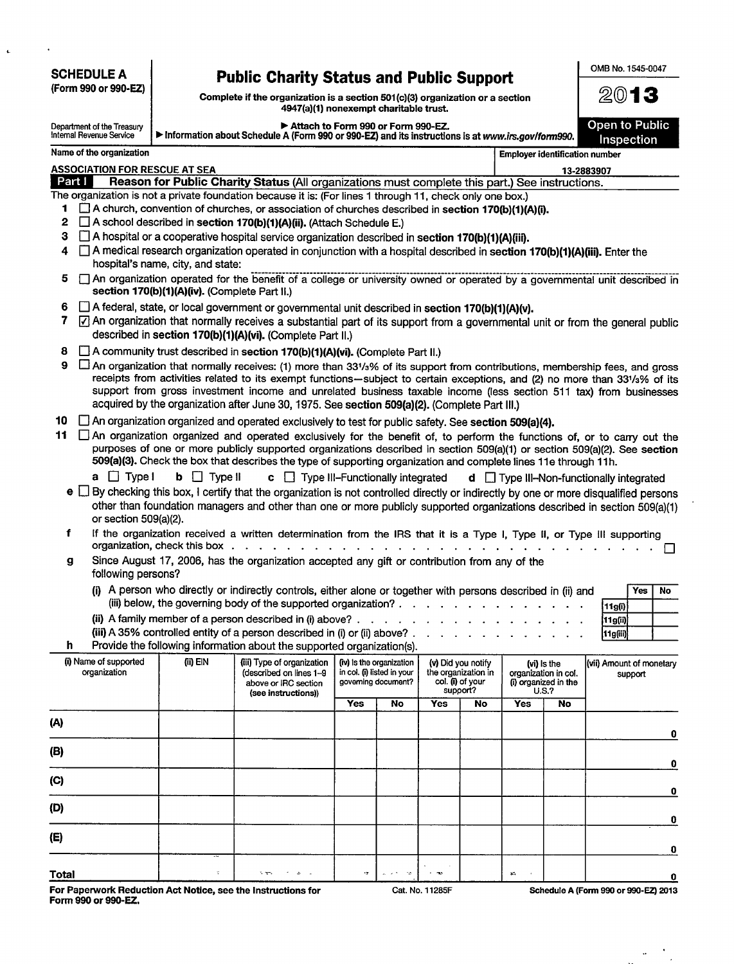| <b>SCHEDULE A</b>                                                                                                                                                                                 |                                                                                                                                                                            |                                                                                                                                                                                                                                                                                                                                                             |             |                                                                               |                                     |                                                                           |                                                                      |    | OMB No. 1545-0047                               |    |
|---------------------------------------------------------------------------------------------------------------------------------------------------------------------------------------------------|----------------------------------------------------------------------------------------------------------------------------------------------------------------------------|-------------------------------------------------------------------------------------------------------------------------------------------------------------------------------------------------------------------------------------------------------------------------------------------------------------------------------------------------------------|-------------|-------------------------------------------------------------------------------|-------------------------------------|---------------------------------------------------------------------------|----------------------------------------------------------------------|----|-------------------------------------------------|----|
| (Form 990 or 990-EZ)                                                                                                                                                                              | <b>Public Charity Status and Public Support</b><br>Complete if the organization is a section 501(c)(3) organization or a section<br>4947(a)(1) nonexempt charitable trust. |                                                                                                                                                                                                                                                                                                                                                             |             |                                                                               |                                     |                                                                           | 2013                                                                 |    |                                                 |    |
| Attach to Form 990 or Form 990-EZ.<br>Department of the Treasury<br>Internal Revenue Service<br>Information about Schedule A (Form 990 or 990-EZ) and its instructions is at www.irs.gov/form990. |                                                                                                                                                                            |                                                                                                                                                                                                                                                                                                                                                             |             |                                                                               | <b>Open to Public</b><br>Inspection |                                                                           |                                                                      |    |                                                 |    |
| Name of the organization                                                                                                                                                                          |                                                                                                                                                                            |                                                                                                                                                                                                                                                                                                                                                             |             |                                                                               |                                     |                                                                           | <b>Employer identification number</b>                                |    |                                                 |    |
| <b>ASSOCIATION FOR RESCUE AT SEA</b>                                                                                                                                                              |                                                                                                                                                                            |                                                                                                                                                                                                                                                                                                                                                             |             |                                                                               |                                     |                                                                           |                                                                      |    | 13-2883907                                      |    |
| Part I<br>The organization is not a private foundation because it is: (For lines 1 through 11, check only one box.)                                                                               |                                                                                                                                                                            | Reason for Public Charity Status (All organizations must complete this part.) See instructions.                                                                                                                                                                                                                                                             |             |                                                                               |                                     |                                                                           |                                                                      |    |                                                 |    |
|                                                                                                                                                                                                   |                                                                                                                                                                            | 1 <b>C</b> A church, convention of churches, or association of churches described in section 170(b)(1)(A)(i).                                                                                                                                                                                                                                               |             |                                                                               |                                     |                                                                           |                                                                      |    |                                                 |    |
| 3.                                                                                                                                                                                                |                                                                                                                                                                            | 2 A school described in section 170(b)(1)(A)(ii). (Attach Schedule E.)                                                                                                                                                                                                                                                                                      |             |                                                                               |                                     |                                                                           |                                                                      |    |                                                 |    |
|                                                                                                                                                                                                   | hospital's name, city, and state:                                                                                                                                          | A hospital or a cooperative hospital service organization described in section 170(b)(1)(A)(iii).<br>4 A medical research organization operated in conjunction with a hospital described in section 170(b)(1)(A)(iii). Enter the                                                                                                                            |             |                                                                               |                                     |                                                                           |                                                                      |    |                                                 |    |
| 5.                                                                                                                                                                                                | section 170(b)(1)(A)(iv). (Complete Part II.)                                                                                                                              | An organization operated for the benefit of a college or university owned or operated by a governmental unit described in                                                                                                                                                                                                                                   |             |                                                                               |                                     |                                                                           |                                                                      |    |                                                 |    |
|                                                                                                                                                                                                   |                                                                                                                                                                            | 6 $\Box$ A federal, state, or local government or governmental unit described in section 170(b)(1)(A)(v).                                                                                                                                                                                                                                                   |             |                                                                               |                                     |                                                                           |                                                                      |    |                                                 |    |
| 7                                                                                                                                                                                                 |                                                                                                                                                                            | 7] An organization that normally receives a substantial part of its support from a governmental unit or from the general public<br>described in section 170(b)(1)(A)(vi). (Complete Part II.)                                                                                                                                                               |             |                                                                               |                                     |                                                                           |                                                                      |    |                                                 |    |
|                                                                                                                                                                                                   |                                                                                                                                                                            | 8 A community trust described in section 170(b)(1)(A)(vi). (Complete Part II.)                                                                                                                                                                                                                                                                              |             |                                                                               |                                     |                                                                           |                                                                      |    |                                                 |    |
|                                                                                                                                                                                                   |                                                                                                                                                                            | 9 $\Box$ An organization that normally receives: (1) more than 331/3% of its support from contributions, membership fees, and gross                                                                                                                                                                                                                         |             |                                                                               |                                     |                                                                           |                                                                      |    |                                                 |    |
|                                                                                                                                                                                                   |                                                                                                                                                                            | receipts from activities related to its exempt functions-subject to certain exceptions, and (2) no more than 331/3% of its<br>support from gross investment income and unrelated business taxable income (less section 511 tax) from businesses                                                                                                             |             |                                                                               |                                     |                                                                           |                                                                      |    |                                                 |    |
|                                                                                                                                                                                                   |                                                                                                                                                                            | acquired by the organization after June 30, 1975. See section 509(a)(2). (Complete Part III.)                                                                                                                                                                                                                                                               |             |                                                                               |                                     |                                                                           |                                                                      |    |                                                 |    |
| 10 An organization organized and operated exclusively to test for public safety. See section 509(a)(4).                                                                                           |                                                                                                                                                                            |                                                                                                                                                                                                                                                                                                                                                             |             |                                                                               |                                     |                                                                           |                                                                      |    |                                                 |    |
| 11 An organization organized and operated exclusively for the benefit of, to perform the functions of, or to carry out the                                                                        |                                                                                                                                                                            | purposes of one or more publicly supported organizations described in section 509(a)(1) or section 509(a)(2). See section                                                                                                                                                                                                                                   |             |                                                                               |                                     |                                                                           |                                                                      |    |                                                 |    |
| $a \Box$ Type I                                                                                                                                                                                   | $\mathbf{b}$ $\Box$ Type II                                                                                                                                                | 509(a)(3). Check the box that describes the type of supporting organization and complete lines 11e through 11h.                                                                                                                                                                                                                                             |             |                                                                               |                                     |                                                                           |                                                                      |    |                                                 |    |
|                                                                                                                                                                                                   |                                                                                                                                                                            | $\mathbf{c}$ $\Box$ Type III-Functionally integrated<br>e $\Box$ By checking this box, I certify that the organization is not controlled directly or indirectly by one or more disqualified persons                                                                                                                                                         |             |                                                                               |                                     |                                                                           |                                                                      |    | $d$ $\Box$ Type III-Non-functionally integrated |    |
|                                                                                                                                                                                                   |                                                                                                                                                                            | other than foundation managers and other than one or more publicly supported organizations described in section 509(a)(1)                                                                                                                                                                                                                                   |             |                                                                               |                                     |                                                                           |                                                                      |    |                                                 |    |
| or section 509(a)(2).                                                                                                                                                                             |                                                                                                                                                                            |                                                                                                                                                                                                                                                                                                                                                             |             |                                                                               |                                     |                                                                           |                                                                      |    |                                                 |    |
| f                                                                                                                                                                                                 | organization, check this box                                                                                                                                               | If the organization received a written determination from the IRS that it is a Type I, Type II, or Type III supporting<br>$\mathbf{r}$ . The set of the set of the set of the set of the set of the set of the set of the set of the set of the set of the set of the set of the set of the set of the set of the set of the set of the set of the set of t |             |                                                                               |                                     |                                                                           |                                                                      |    |                                                 |    |
| g<br>following persons?                                                                                                                                                                           |                                                                                                                                                                            | Since August 17, 2006, has the organization accepted any gift or contribution from any of the                                                                                                                                                                                                                                                               |             |                                                                               |                                     |                                                                           |                                                                      |    |                                                 |    |
|                                                                                                                                                                                                   |                                                                                                                                                                            | (i) A person who directly or indirectly controls, either alone or together with persons described in (ii) and                                                                                                                                                                                                                                               |             |                                                                               |                                     |                                                                           |                                                                      |    | <b>Yes</b>                                      | No |
|                                                                                                                                                                                                   |                                                                                                                                                                            | (iii) below, the governing body of the supported organization?                                                                                                                                                                                                                                                                                              |             |                                                                               |                                     |                                                                           |                                                                      |    | 11g(i)                                          |    |
|                                                                                                                                                                                                   |                                                                                                                                                                            | (ii) A family member of a person described in (i) above? $\ldots$ $\ldots$ $\ldots$ $\ldots$<br>(iii) A 35% controlled entity of a person described in (i) or (ii) above? .                                                                                                                                                                                 |             |                                                                               |                                     |                                                                           |                                                                      |    | 11g(ii) <br>11g(iii)                            |    |
| h.                                                                                                                                                                                                |                                                                                                                                                                            | Provide the following information about the supported organization(s).                                                                                                                                                                                                                                                                                      |             |                                                                               |                                     |                                                                           |                                                                      |    |                                                 |    |
| (i) Name of supported<br>organization                                                                                                                                                             | (ii) EIN                                                                                                                                                                   | (iii) Type of organization<br>(described on lines 1-9<br>above or IRC section                                                                                                                                                                                                                                                                               |             | (iv) is the organization<br>in col. (i) listed in your<br>governing document? |                                     | (v) Did you notify<br>the organization in<br>col. (i) of your<br>support? | (vi) is the<br>organization in col.<br>(i) organized in the<br>U.S.? |    | (vii) Amount of monetary<br>support             |    |
|                                                                                                                                                                                                   |                                                                                                                                                                            | (see instructions))                                                                                                                                                                                                                                                                                                                                         | <b>Yes</b>  | No                                                                            | <b>Yes</b>                          | No                                                                        | <b>Yes</b>                                                           | No |                                                 |    |
| (A)                                                                                                                                                                                               |                                                                                                                                                                            |                                                                                                                                                                                                                                                                                                                                                             |             |                                                                               |                                     |                                                                           |                                                                      |    |                                                 | 0  |
| (B)                                                                                                                                                                                               |                                                                                                                                                                            |                                                                                                                                                                                                                                                                                                                                                             |             |                                                                               |                                     |                                                                           |                                                                      |    |                                                 | 0  |
| (C)                                                                                                                                                                                               |                                                                                                                                                                            |                                                                                                                                                                                                                                                                                                                                                             |             |                                                                               |                                     |                                                                           |                                                                      |    |                                                 | 0  |
| (D)                                                                                                                                                                                               |                                                                                                                                                                            |                                                                                                                                                                                                                                                                                                                                                             |             |                                                                               |                                     |                                                                           |                                                                      |    |                                                 | 0  |
| (E)                                                                                                                                                                                               |                                                                                                                                                                            |                                                                                                                                                                                                                                                                                                                                                             |             |                                                                               |                                     |                                                                           |                                                                      |    |                                                 | 0  |
| <b>Total</b>                                                                                                                                                                                      | ÷                                                                                                                                                                          | ti me                                                                                                                                                                                                                                                                                                                                                       | $\cdot\tau$ | $\gamma_{\rm c}$                                                              | $\sim$ $\sim$                       |                                                                           | $\mathcal{N}_{\Phi}$                                                 |    |                                                 | 0  |
|                                                                                                                                                                                                   |                                                                                                                                                                            |                                                                                                                                                                                                                                                                                                                                                             |             |                                                                               |                                     |                                                                           |                                                                      |    |                                                 |    |

**For Paperwork Reduction Act Notice, see the Instructions for Cat. No. 11285F Form 990 or 990-EZ.**

**Schedule A (Form 990 or 990-EZ) 2013**

 $\sim$ 

 $\mathcal{A}$  $\sim$ 

 $\bar{\gamma}$ 

 $\epsilon$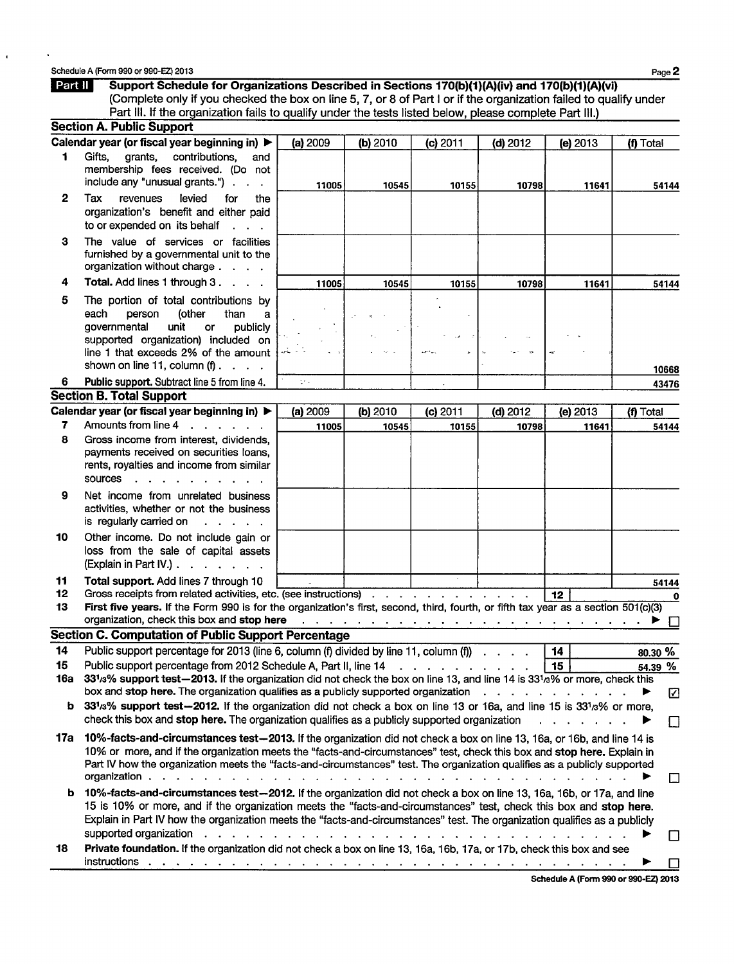Schedule A (Form 990 or **990-EZ) 2013 Page 2**

 $\hat{\textbf{t}}$ 

| Part II  | Support Schedule for Organizations Described in Sections 170(b)(1)(A)(iv) and 170(b)(1)(A)(vi)<br>(Complete only if you checked the box on line 5, 7, or 8 of Part I or if the organization failed to qualify under                                                                                                                                                                                 |          |          |                                                                                  |                                                                                                                                               |          |              |
|----------|-----------------------------------------------------------------------------------------------------------------------------------------------------------------------------------------------------------------------------------------------------------------------------------------------------------------------------------------------------------------------------------------------------|----------|----------|----------------------------------------------------------------------------------|-----------------------------------------------------------------------------------------------------------------------------------------------|----------|--------------|
|          | Part III. If the organization fails to qualify under the tests listed below, please complete Part III.)                                                                                                                                                                                                                                                                                             |          |          |                                                                                  |                                                                                                                                               |          |              |
|          | <b>Section A. Public Support</b>                                                                                                                                                                                                                                                                                                                                                                    |          |          |                                                                                  |                                                                                                                                               |          |              |
|          | Calendar year (or fiscal year beginning in) ▶                                                                                                                                                                                                                                                                                                                                                       | (a) 2009 | (b) 2010 | (c) 2011                                                                         | $(d)$ 2012                                                                                                                                    | (e) 2013 | (f) Total    |
| 1        | contributions,<br>Gifts.<br>grants.<br>and<br>membership fees received. (Do not<br>include any "unusual grants.")                                                                                                                                                                                                                                                                                   | 11005    | 10545    | 10155                                                                            | 10798                                                                                                                                         | 11641    | 54144        |
| 2        | levied<br>Tax<br>revenues<br>for<br>the<br>organization's benefit and either paid<br>to or expended on its behalf<br>$2.12 - 2.12$                                                                                                                                                                                                                                                                  |          |          |                                                                                  |                                                                                                                                               |          |              |
| з        | The value of services or facilities<br>furnished by a governmental unit to the<br>organization without charge.<br>$\sim$ $\sim$ $\sim$                                                                                                                                                                                                                                                              |          |          |                                                                                  |                                                                                                                                               |          |              |
| 4        | Total. Add lines 1 through 3.<br>$\sim$ $\sim$ $\sim$                                                                                                                                                                                                                                                                                                                                               | 11005    | 10545    | 10155                                                                            | 10798                                                                                                                                         | 11641    | 54144        |
| 5        | The portion of total contributions by<br>each<br>(other<br>person<br>than<br>a<br>governmental<br>unit<br>publicly<br>or<br>supported organization) included on<br>line 1 that exceeds 2% of the amount                                                                                                                                                                                             |          |          |                                                                                  |                                                                                                                                               | 4X)      |              |
|          | shown on line 11, column $(f)$ .                                                                                                                                                                                                                                                                                                                                                                    |          |          |                                                                                  |                                                                                                                                               |          |              |
| 6        | Public support. Subtract line 5 from line 4.                                                                                                                                                                                                                                                                                                                                                        | the.     |          |                                                                                  |                                                                                                                                               |          | 10668        |
|          | <b>Section B. Total Support</b>                                                                                                                                                                                                                                                                                                                                                                     |          |          |                                                                                  |                                                                                                                                               |          | 43476        |
|          | Calendar year (or fiscal year beginning in) ▶                                                                                                                                                                                                                                                                                                                                                       | (a) 2009 | (b) 2010 | $(c)$ 2011                                                                       | $(d)$ 2012                                                                                                                                    | (e) 2013 | (f) Total    |
| 7        | Amounts from line 4<br>$\mathbf{L} = \mathbf{L}$                                                                                                                                                                                                                                                                                                                                                    | 11005    | 10545    | 10155                                                                            | 10798                                                                                                                                         | 11641    | 54144        |
| 8        | Gross income from interest, dividends,<br>payments received on securities loans,<br>rents, royalties and income from similar<br>sources                                                                                                                                                                                                                                                             |          |          |                                                                                  |                                                                                                                                               |          |              |
| 9        | Net income from unrelated business<br>activities, whether or not the business<br>is regularly carried on<br>$\mathbf{r}$ . The set of the set of the set of the set of the set of the set of the set of the set of the set of the set of the set of the set of the set of the set of the set of the set of the set of the set of the set of t                                                       |          |          |                                                                                  |                                                                                                                                               |          |              |
| 10       | Other income. Do not include gain or<br>loss from the sale of capital assets<br>$(Explain in Part IV.)$ .                                                                                                                                                                                                                                                                                           |          |          |                                                                                  |                                                                                                                                               |          |              |
| 11       | Total support. Add lines 7 through 10                                                                                                                                                                                                                                                                                                                                                               |          |          |                                                                                  |                                                                                                                                               |          | 54144        |
| 12<br>13 | Gross receipts from related activities, etc. (see instructions)<br>First five years. If the Form 990 is for the organization's first, second, third, fourth, or fifth tax year as a section 501(c)(3)                                                                                                                                                                                               |          |          |                                                                                  |                                                                                                                                               | 12       | 0            |
|          | organization, check this box and stop here readed to read the content of the content of the content of the content of the content of the content of the content of the content of the content of the content of the content of                                                                                                                                                                      |          |          |                                                                                  |                                                                                                                                               |          |              |
|          | Section C. Computation of Public Support Percentage                                                                                                                                                                                                                                                                                                                                                 |          |          |                                                                                  |                                                                                                                                               |          |              |
| 14       | Public support percentage for 2013 (line 6, column (f) divided by line 11, column (f) cancel cancel c                                                                                                                                                                                                                                                                                               |          |          |                                                                                  |                                                                                                                                               | 14       | 80.30 %      |
| 15       | Public support percentage from 2012 Schedule A, Part II, line 14                                                                                                                                                                                                                                                                                                                                    |          |          | $\mathbf{r}$ and $\mathbf{r}$ and $\mathbf{r}$ and $\mathbf{r}$ and $\mathbf{r}$ |                                                                                                                                               | 15       | 54.39 %      |
| 16a      | 331/3% support test-2013. If the organization did not check the box on line 13, and line 14 is 331/3% or more, check this                                                                                                                                                                                                                                                                           |          |          |                                                                                  |                                                                                                                                               |          |              |
|          | box and stop here. The organization qualifies as a publicly supported organization                                                                                                                                                                                                                                                                                                                  |          |          |                                                                                  | $\begin{array}{cccccccccccccc} \bullet & \bullet & \bullet & \bullet & \bullet & \bullet & \bullet & \bullet & \bullet & \bullet \end{array}$ |          | ☑            |
| b        | 331/3% support test-2012. If the organization did not check a box on line 13 or 16a, and line 15 is 331/3% or more,<br>check this box and stop here. The organization qualifies as a publicly supported organization                                                                                                                                                                                |          |          |                                                                                  |                                                                                                                                               |          | L.           |
| 17a      | 10%-facts-and-circumstances test-2013. If the organization did not check a box on line 13, 16a, or 16b, and line 14 is<br>10% or more, and if the organization meets the "facts-and-circumstances" test, check this box and stop here. Explain in<br>Part IV how the organization meets the "facts-and-circumstances" test. The organization qualifies as a publicly supported<br>organization.     |          |          |                                                                                  |                                                                                                                                               |          | ⊡            |
| b        | 10%-facts-and-circumstances test-2012. If the organization did not check a box on line 13, 16a, 16b, or 17a, and line<br>15 is 10% or more, and if the organization meets the "facts-and-circumstances" test, check this box and stop here.<br>Explain in Part IV how the organization meets the "facts-and-circumstances" test. The organization qualifies as a publicly<br>supported organization |          |          |                                                                                  |                                                                                                                                               |          |              |
| 18       | Private foundation. If the organization did not check a box on line 13, 16a, 16b, 17a, or 17b, check this box and see                                                                                                                                                                                                                                                                               |          |          |                                                                                  |                                                                                                                                               |          | $\mathsf{L}$ |
|          | instructions<br>المناطر والمناطر والمناطر والمناطر والمناطر والمناطر والمناطر والمناطر والمناطر والمناطر والمناطر                                                                                                                                                                                                                                                                                   |          |          |                                                                                  |                                                                                                                                               |          |              |

**Schedule A (Form 990 or 990-EZ) 2013**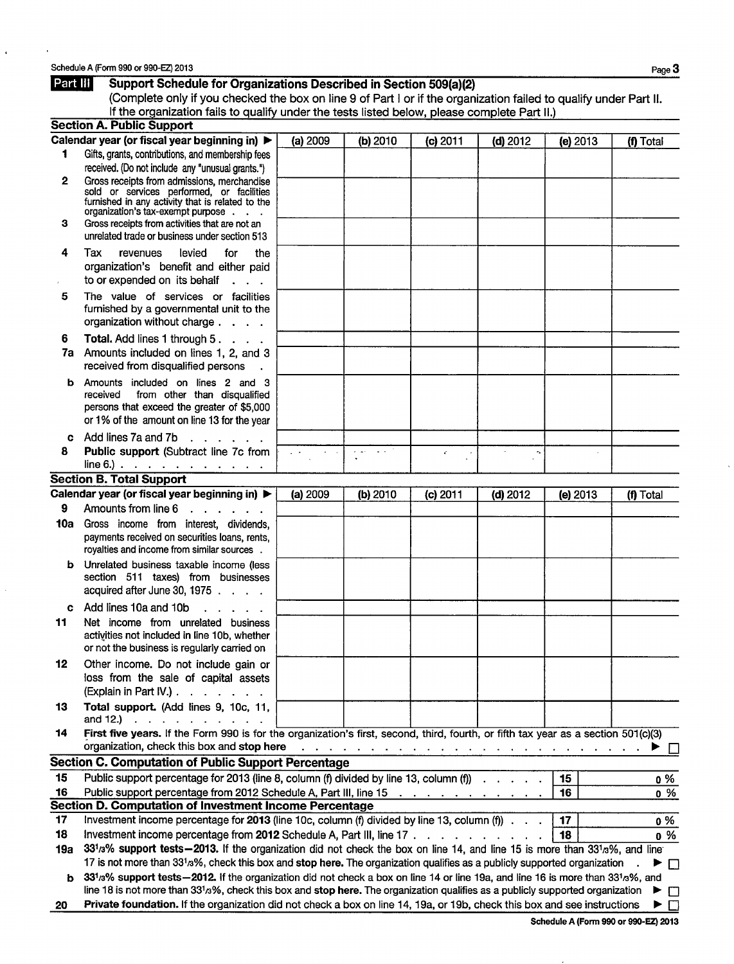$\ddot{\phantom{1}}$ 

| Part III     | Support Schedule for Organizations Described in Section 509(a)(2)                                                                     |          |                |                                                                                                                 |                |          |             |
|--------------|---------------------------------------------------------------------------------------------------------------------------------------|----------|----------------|-----------------------------------------------------------------------------------------------------------------|----------------|----------|-------------|
|              | (Complete only if you checked the box on line 9 of Part I or if the organization failed to qualify under Part II.                     |          |                |                                                                                                                 |                |          |             |
|              | If the organization fails to qualify under the tests listed below, please complete Part II.)                                          |          |                |                                                                                                                 |                |          |             |
|              | <b>Section A. Public Support</b>                                                                                                      |          |                |                                                                                                                 |                |          |             |
|              | Calendar year (or fiscal year beginning in) ▶                                                                                         | (a) 2009 | (b) 2010       | $(c)$ 2011                                                                                                      | $(d)$ 2012     | (e) 2013 | (f) Total   |
| 1            | Gifts, grants, contributions, and membership fees                                                                                     |          |                |                                                                                                                 |                |          |             |
|              | received. (Do not include any "unusual grants.")                                                                                      |          |                |                                                                                                                 |                |          |             |
| $\mathbf{2}$ | Gross receipts from admissions, merchandise<br>sold or services performed, or facilities                                              |          |                |                                                                                                                 |                |          |             |
|              | furnished in any activity that is related to the                                                                                      |          |                |                                                                                                                 |                |          |             |
|              | organization's tax-exempt purpose                                                                                                     |          |                |                                                                                                                 |                |          |             |
| з            | Gross receipts from activities that are not an<br>unrelated trade or business under section 513                                       |          |                |                                                                                                                 |                |          |             |
|              |                                                                                                                                       |          |                |                                                                                                                 |                |          |             |
| 4            | Tax<br>levied<br>revenues<br>for<br>the                                                                                               |          |                |                                                                                                                 |                |          |             |
|              | organization's benefit and either paid<br>to or expended on its behalf                                                                |          |                |                                                                                                                 |                |          |             |
|              | $\ddot{\phantom{a}}$                                                                                                                  |          |                |                                                                                                                 |                |          |             |
| 5            | The value of services or facilities<br>furnished by a governmental unit to the                                                        |          |                |                                                                                                                 |                |          |             |
|              | organization without charge                                                                                                           |          |                |                                                                                                                 |                |          |             |
|              |                                                                                                                                       |          |                |                                                                                                                 |                |          |             |
| 6<br>7a      | <b>Total.</b> Add lines 1 through 5.<br>Amounts included on lines 1, 2, and 3                                                         |          |                |                                                                                                                 |                |          |             |
|              | received from disqualified persons                                                                                                    |          |                |                                                                                                                 |                |          |             |
|              |                                                                                                                                       |          |                |                                                                                                                 |                |          |             |
| b            | Amounts included on lines 2 and 3<br>from other than disqualified<br>received                                                         |          |                |                                                                                                                 |                |          |             |
|              | persons that exceed the greater of \$5,000                                                                                            |          |                |                                                                                                                 |                |          |             |
|              | or 1% of the amount on line 13 for the year                                                                                           |          |                |                                                                                                                 |                |          |             |
| c            | Add lines 7a and 7b<br>$\mathbf{r}$ , and $\mathbf{r}$ , and $\mathbf{r}$                                                             |          |                |                                                                                                                 |                |          |             |
| 8            | Public support (Subtract line 7c from                                                                                                 |          | $\sigma$ , and | ¥.                                                                                                              | $\tau_{\rm a}$ |          |             |
|              | line 6.) $\ldots$ $\ldots$ $\ldots$ $\ldots$ $\ldots$ $\ldots$                                                                        |          |                |                                                                                                                 |                |          |             |
|              | <b>Section B. Total Support</b>                                                                                                       |          |                |                                                                                                                 |                |          |             |
|              | Calendar year (or fiscal year beginning in) ▶                                                                                         | (a) 2009 | (b) 2010       | $(c)$ 2011                                                                                                      | $(d)$ 2012     | (e) 2013 | (f) Total   |
| 9            | Amounts from line 6                                                                                                                   |          |                |                                                                                                                 |                |          |             |
| 10a          | Gross income from interest, dividends,                                                                                                |          |                |                                                                                                                 |                |          |             |
|              | payments received on securities loans, rents,                                                                                         |          |                |                                                                                                                 |                |          |             |
|              | royalties and income from similar sources.                                                                                            |          |                |                                                                                                                 |                |          |             |
| b            | Unrelated business taxable income (less                                                                                               |          |                |                                                                                                                 |                |          |             |
|              | section 511 taxes) from businesses                                                                                                    |          |                |                                                                                                                 |                |          |             |
|              | acquired after June 30, 1975                                                                                                          |          |                |                                                                                                                 |                |          |             |
| c.           | Add lines 10a and 10b<br>$\sim$ $\sim$ $\sim$ $\sim$                                                                                  |          |                |                                                                                                                 |                |          |             |
| 11           | Net income from unrelated business                                                                                                    |          |                |                                                                                                                 |                |          |             |
|              | activities not included in line 10b, whether                                                                                          |          |                |                                                                                                                 |                |          |             |
|              | or not the business is regularly carried on                                                                                           |          |                |                                                                                                                 |                |          |             |
| 12           | Other income. Do not include gain or                                                                                                  |          |                |                                                                                                                 |                |          |             |
|              | loss from the sale of capital assets                                                                                                  |          |                |                                                                                                                 |                |          |             |
|              | (Explain in Part IV.) $\ldots$ $\ldots$ $\ldots$                                                                                      |          |                |                                                                                                                 |                |          |             |
| 13           | Total support. (Add lines 9, 10c, 11,<br>and 12.) $\cdots$ $\cdots$ $\cdots$                                                          |          |                |                                                                                                                 |                |          |             |
| 14           | First five years. If the Form 990 is for the organization's first, second, third, fourth, or fifth tax year as a section 501(c)(3)    |          |                |                                                                                                                 |                |          |             |
|              | organization, check this box and stop here                                                                                            |          |                | the contract of the contract of the contract of the contract of the contract of the contract of the contract of |                |          | ►<br>$\Box$ |
|              | <b>Section C. Computation of Public Support Percentage</b>                                                                            |          |                |                                                                                                                 |                |          |             |
| 15           | Public support percentage for 2013 (line 8, column (f) divided by line 13, column (f)                                                 |          |                |                                                                                                                 |                | 15       | 0 %         |
| 16           | Public support percentage from 2012 Schedule A, Part III, line 15                                                                     |          |                |                                                                                                                 |                | 16       | $0\%$       |
|              | Section D. Computation of Investment Income Percentage                                                                                |          |                |                                                                                                                 |                |          |             |
| 17           | Investment income percentage for 2013 (line 10c, column (f) divided by line 13, column (f) $\cdots$                                   |          |                |                                                                                                                 |                | 17       | 0 %         |
| 18           | Investment income percentage from 2012 Schedule A, Part III, line 17                                                                  |          |                |                                                                                                                 |                | 18       | $0\%$       |
| 19а          | 331/3% support tests - 2013. If the organization did not check the box on line 14, and line 15 is more than 331/3%, and line          |          |                |                                                                                                                 |                |          |             |
|              | 17 is not more than 331 <sup>3</sup> %, check this box and stop here. The organization qualifies as a publicly supported organization |          |                |                                                                                                                 |                |          | ▶ □         |
| b            | 331/3% support tests-2012. If the organization did not check a box on line 14 or line 19a, and line 16 is more than 331/3%, and       |          |                |                                                                                                                 |                |          |             |
|              | line 18 is not more than 331/3%, check this box and stop here. The organization qualifies as a publicly supported organization        |          |                |                                                                                                                 |                |          | ▶<br>$\Box$ |
| 20           | Private foundation. If the organization did not check a box on line 14, 19a, or 19b, check this box and see instructions              |          |                |                                                                                                                 |                |          | ▶□          |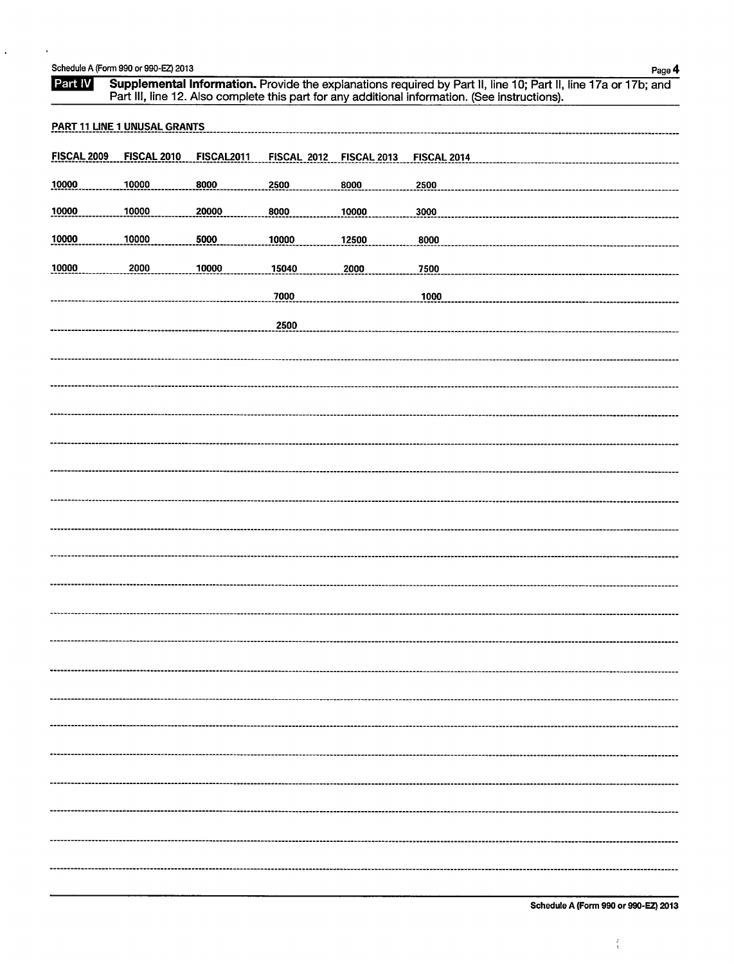| Schedule A (Form 990 or 990-EZ) 2013 | Page 4 |
|--------------------------------------|--------|
|                                      |        |

 $\ddot{\phantom{a}}$ 

| Part IV            |                                     |                   |                    |                    | ı uyo −r<br>Supplemental Information. Provide the explanations required by Part II, line 10; Part II, line 17a or 17b; and<br>Part III, line 12. Also complete this part for any additional information. (See instructions). |
|--------------------|-------------------------------------|-------------------|--------------------|--------------------|------------------------------------------------------------------------------------------------------------------------------------------------------------------------------------------------------------------------------|
|                    | <b>PART 11 LINE 1 UNUSAL GRANTS</b> |                   |                    |                    |                                                                                                                                                                                                                              |
| <b>FISCAL 2009</b> | <b>FISCAL 2010</b>                  | <b>FISCAL2011</b> | <b>FISCAL 2012</b> | <b>FISCAL 2013</b> | <b>FISCAL 2014</b>                                                                                                                                                                                                           |
| 10000              | 10000                               | 8000              | 2500               | 8000               | 2500                                                                                                                                                                                                                         |
| 10000              | 10000                               | 20000             | 8000               | 10000              | 3000                                                                                                                                                                                                                         |
| 10000              | 10000                               | 5000              | 10000              | 12500              | 8000                                                                                                                                                                                                                         |
| 10000              | 2000                                | 10000             | 15040              | 2000               | 7500                                                                                                                                                                                                                         |
|                    |                                     |                   | 7000               |                    | 1000                                                                                                                                                                                                                         |
|                    |                                     |                   | 2500               |                    |                                                                                                                                                                                                                              |
|                    |                                     |                   |                    |                    |                                                                                                                                                                                                                              |
|                    |                                     |                   |                    |                    |                                                                                                                                                                                                                              |
|                    |                                     |                   |                    |                    |                                                                                                                                                                                                                              |
|                    |                                     |                   |                    |                    |                                                                                                                                                                                                                              |
|                    |                                     |                   |                    |                    |                                                                                                                                                                                                                              |
|                    |                                     |                   |                    |                    |                                                                                                                                                                                                                              |
|                    |                                     |                   |                    |                    |                                                                                                                                                                                                                              |
|                    |                                     |                   |                    |                    |                                                                                                                                                                                                                              |
|                    |                                     |                   |                    |                    |                                                                                                                                                                                                                              |
|                    |                                     |                   |                    |                    |                                                                                                                                                                                                                              |
|                    |                                     |                   |                    |                    |                                                                                                                                                                                                                              |
|                    |                                     |                   |                    |                    |                                                                                                                                                                                                                              |
|                    |                                     |                   |                    |                    |                                                                                                                                                                                                                              |
|                    |                                     |                   |                    |                    |                                                                                                                                                                                                                              |
|                    |                                     |                   |                    |                    |                                                                                                                                                                                                                              |
|                    |                                     |                   |                    |                    |                                                                                                                                                                                                                              |
|                    |                                     |                   |                    |                    |                                                                                                                                                                                                                              |
|                    |                                     |                   |                    |                    |                                                                                                                                                                                                                              |
|                    |                                     |                   |                    |                    |                                                                                                                                                                                                                              |
|                    |                                     |                   |                    |                    |                                                                                                                                                                                                                              |

 $\frac{1}{4}$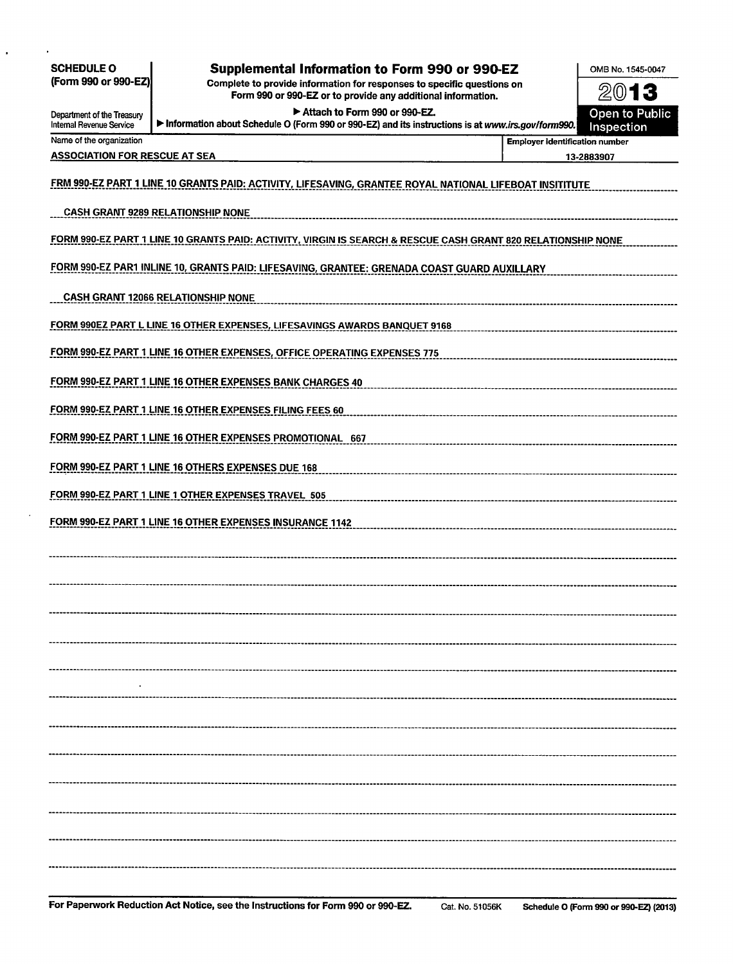| <b>SCHEDULE O</b><br>(Form 990 or 990-EZ)              | <b>Supplemental Information to Form 990 or 990-EZ</b><br>Complete to provide information for responses to specific questions on    |                                       | OMB No. 1545-0047            |
|--------------------------------------------------------|------------------------------------------------------------------------------------------------------------------------------------|---------------------------------------|------------------------------|
|                                                        | Form 990 or 990-EZ or to provide any additional information.                                                                       |                                       | 2013                         |
| Department of the Treasury<br>Internal Revenue Service | Attach to Form 990 or 990-EZ.<br>Information about Schedule O (Form 990 or 990-EZ) and its instructions is at www.irs.gov/form990. |                                       | Open to Public<br>Inspection |
| Name of the organization                               |                                                                                                                                    | <b>Employer identification number</b> |                              |
| <b>ASSOCIATION FOR RESCUE AT SEA</b>                   |                                                                                                                                    |                                       | 13-2883907                   |
|                                                        | FRM 990-EZ PART 1 LINE 10 GRANTS PAID: ACTIVITY, LIFESAVING, GRANTEE ROYAL NATIONAL LIFEBOAT INSITITUTE                            |                                       |                              |
|                                                        | <b>CASH GRANT 9289 RELATIONSHIP NONE</b>                                                                                           |                                       |                              |
|                                                        | FORM 990-EZ PART 1 LINE 10 GRANTS PAID: ACTIVITY, VIRGIN IS SEARCH & RESCUE CASH GRANT 820 RELATIONSHIP NONE                       |                                       |                              |
|                                                        | FORM 990-EZ PAR1 INLINE 10, GRANTS PAID: LIFESAVING, GRANTEE: GRENADA COAST GUARD AUXILLARY                                        |                                       |                              |
|                                                        | <b>CASH GRANT 12066 RELATIONSHIP NONE</b>                                                                                          |                                       |                              |
|                                                        | FORM 990EZ PART L LINE 16 OTHER EXPENSES, LIFESAVINGS AWARDS BANQUET 9168                                                          |                                       |                              |
|                                                        | FORM 990-EZ PART 1 LINE 16 OTHER EXPENSES, OFFICE OPERATING EXPENSES 775                                                           |                                       |                              |
|                                                        | FORM 990-EZ PART 1 LINE 16 OTHER EXPENSES BANK CHARGES 40                                                                          |                                       |                              |
|                                                        | FORM 990-EZ PART 1 LINE 16 OTHER EXPENSES FILING FEES 60                                                                           |                                       |                              |
|                                                        | FORM 990-EZ PART 1 LINE 16 OTHER EXPENSES PROMOTIONAL 667                                                                          |                                       |                              |
|                                                        | FORM 990-EZ PART 1 LINE 16 OTHERS EXPENSES DUE 168                                                                                 |                                       |                              |
|                                                        | FORM 990-EZ PART 1 LINE 1 OTHER EXPENSES TRAVEL 505                                                                                |                                       |                              |
|                                                        | FORM 990-EZ PART 1 LINE 16 OTHER EXPENSES INSURANCE 1142                                                                           |                                       |                              |
|                                                        |                                                                                                                                    |                                       |                              |
|                                                        |                                                                                                                                    |                                       |                              |
|                                                        |                                                                                                                                    |                                       |                              |
|                                                        |                                                                                                                                    |                                       |                              |
|                                                        |                                                                                                                                    |                                       |                              |
|                                                        |                                                                                                                                    |                                       |                              |
|                                                        |                                                                                                                                    |                                       |                              |
|                                                        |                                                                                                                                    |                                       |                              |
|                                                        |                                                                                                                                    |                                       |                              |
|                                                        |                                                                                                                                    |                                       |                              |
|                                                        |                                                                                                                                    |                                       |                              |
|                                                        |                                                                                                                                    |                                       |                              |
|                                                        |                                                                                                                                    |                                       |                              |

 $\ddot{\phantom{0}}$ 

l,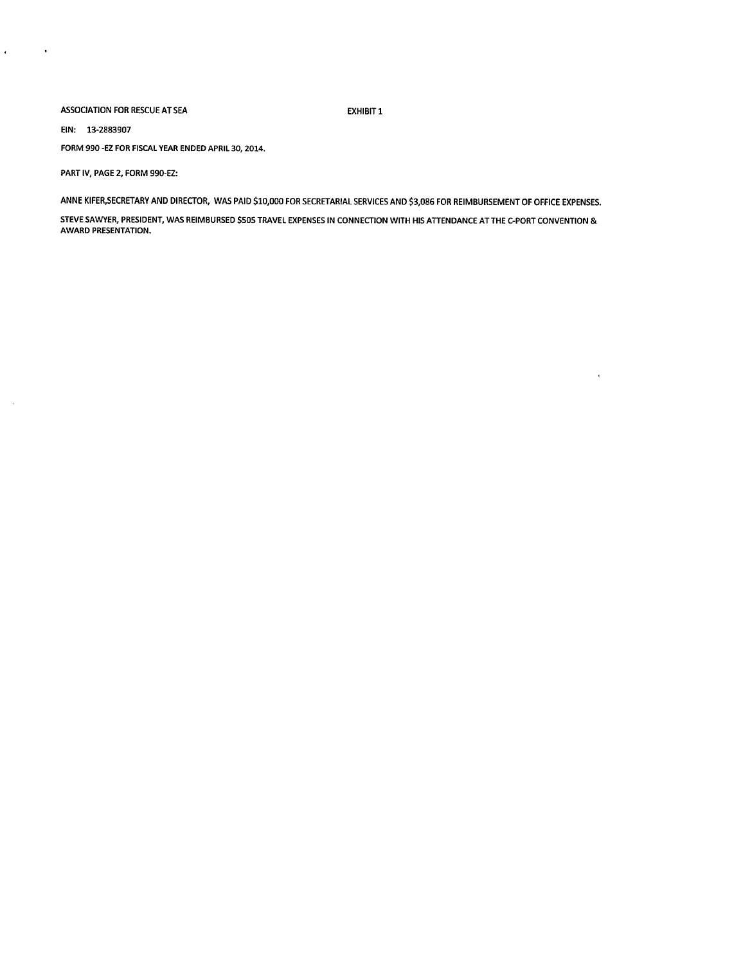#### ASSOCIATION FOR RESCUE AT SEA EXHIBIT 1

 $\bar{1}$ 

EIN: 13-2883907

 $\hat{\mathbf{r}}$ 

 $\sim$ 

 $\sim$   $\alpha$ 

FORM 990 -EZ FOR FISCAL YEAR ENDED APRIL 30, 2014.

PART IV, PAGE 2, FORM 990-EZ:

ANNE KIFER,SECRETARY AND DIRECTOR, WAS PAID \$10,000 FOR SECRETARIAL SERVICES AND \$3,086 FOR REIMBURSEMENT OF OFFICE EXPENSES.

STEVE SAWYER, PRESIDENT, WAS REIMBURSED \$505 TRAVEL EXPENSES IN CONNECTION WITH HIS ATTENDANCE AT THE C-PORT CONVENTION & AWARD PRESENTATION.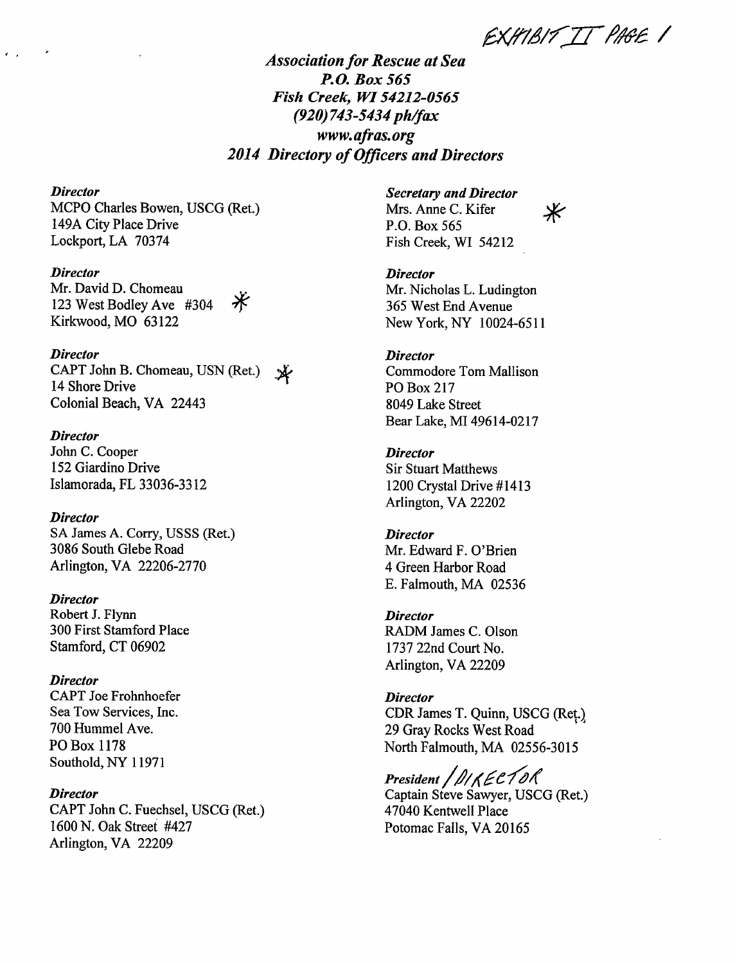EXHIBIT IT PAGE 1

 $\cancel{\divideontimes}$ 

## *Association for Rescue at Sea P.O. Box 565 Fish Creek, WI 54212-0565 (920)743-5434 ph/fax www.aftas.org 2014 Directory* **of** *Officers and Directors*

#### *Director*

MCPO Charles Bowen, USCG (Ret.) 149A City Place Drive Lockport, LA 70374

#### *Director*

Mr. David D. Chomeau Ӂ 123 West Bodley Ave #304 Kirkwood, MO 63122

### *Director*

CAPT John B. Chomeau, USN (Ret.)  $\mathbf{\mathbf{\mathbf{\mathbf{\mathbf{X}}}}}$ 14 Shore Drive Colonial Beach, VA 22443

### *Director*

John C. Cooper 152 Giardino Drive Islamorada, FL 33036-3312

## *Director*

SA James A. Corry, USSS (Ret.) 3086 South Glebe Road Arlington, VA 22206-2770

#### *Director*

Robert J. Flynn 300 First Stamford Place Stamford, CT 06902

## *Director*

CAPT Joe Frohnhoefer Sea Tow Services, Inc. 700 Hummel Ave. P0 Box 1178 Southold, NY 11971

## *Director*

CAPT John C. Fuechsel, USCG (Ret.) 1600 N. Oak Street #427 Arlington, VA 22209

#### *Secretary and Director* Mrs. Anne C. Kifer

P.O. Box 565 Fish Creek, WI 54212

# *Director*

Mr. Nicholas L. Ludington *365* West End Avenue New York, NY 10024-6511

## *Director*

Commodore Tom Mallison P0 Box 217 8049 Lake Street Bear Lake, MI 49614-0217

## *Director*

Sir Stuart Matthews 1200 Crystal Drive #1413 Arlington, VA 22202

## *Director*

Mr. Edward F. O'Brien 4 Green Harbor Road E. Falmouth, MA 02536

## *Director*

RADM James C. Olson 1737 22nd Court No. Arlington, VA 22209

## *Director*

CDR James T. Quinn, USCG (Ret.) 29 Gray Rocks West Road North Falmouth, MA 02556-3015

President *| DIKECTOR* Captain Steve Sawyer, USCG (Ret.) 47040 Kentwell Place Potomac Falls, VA 20165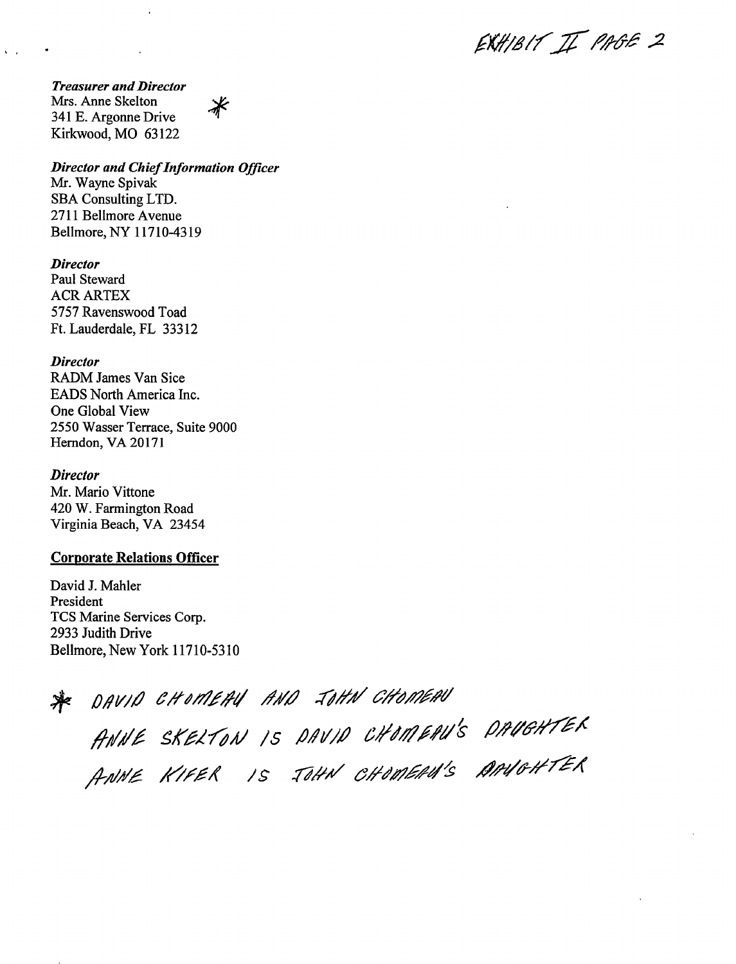EXHIBIT IT PAGE 2

*Treasurer and Director* Mrs. Anne Skelton 341 E. Argonne Drive Kirkwood, MO 63122

 $\mathbf{v} = \mathbf{r}$ 

*Director and Chief Information Officer*

∦

Mr. Wayne Spivak SBA Consulting LTD. 2711 Bellmore Avenue Bellmore, NY 11710-4319

*Director* Paul Steward ACR ARTEX 5757 Ravenswood Toad Ft. Lauderdale, FL 33312

*Director* RADM James Van Sice EADS North America Inc. One Global View *2550* Wasser Terrace, Suite 9000 Herndon, VA 20171

*Director* Mr. Mario Vittone 420 W. Farmington Road Virginia Beach, VA 23454

## **Corporate Relations Officer**

David J. Mahler President TCS Marine Services Corp. 2933 Judith Drive Bellmore, New York 11710-5310

\* *D,9V/,ó'* e#dMf/*/* ,

ANNE SKELTON IS DAVID CHOMERU'S DRUGHTEK<br>ANNE KIFER IS JOHN CHOMERU'S ARVOHTER